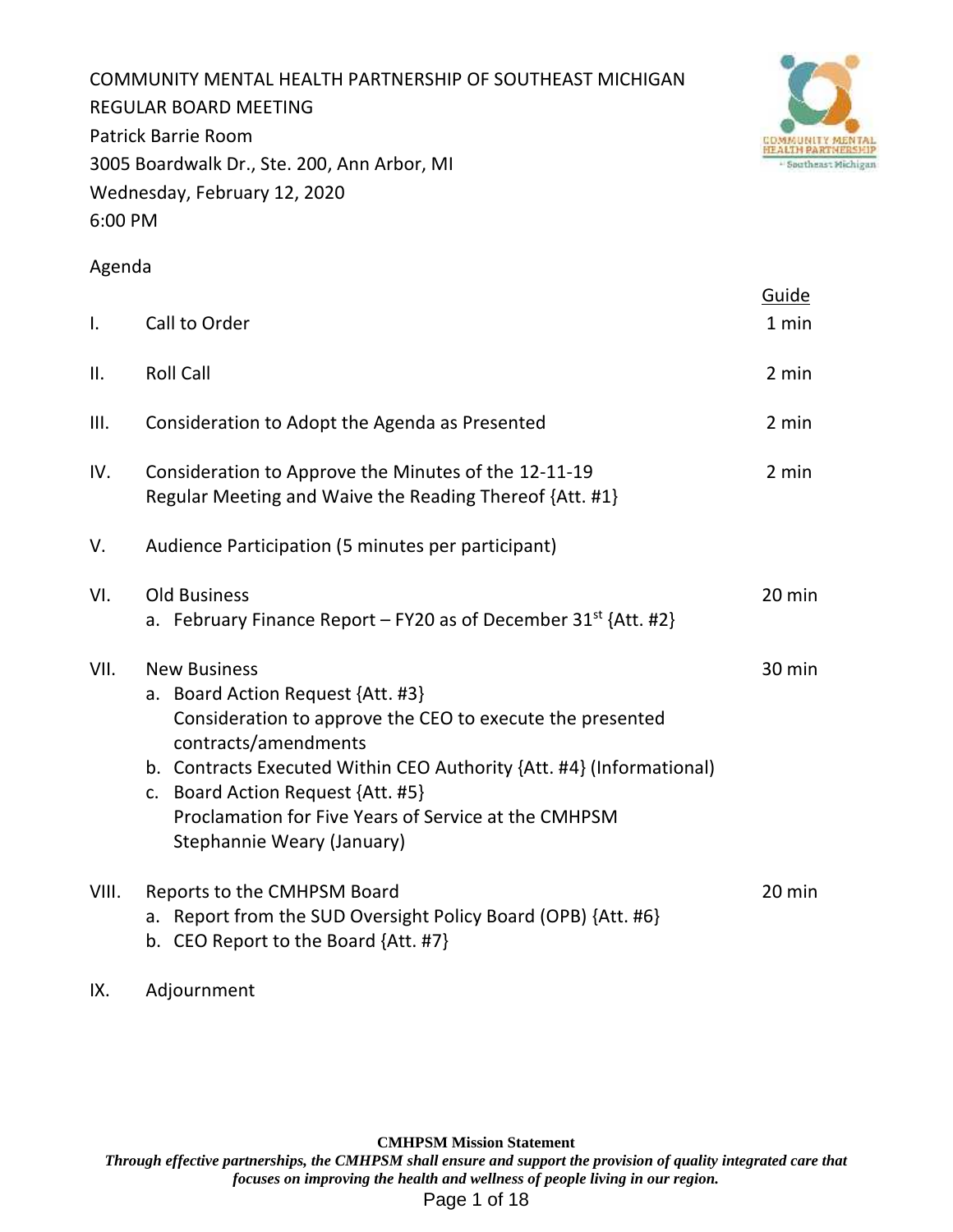COMMUNITY MENTAL HEALTH PARTNERSHIP OF SOUTHEAST MICHIGAN REGULAR BOARD MEETING Patrick Barrie Room 3005 Boardwalk Dr., Ste. 200, Ann Arbor, MI Wednesday, February 12, 2020 6:00 PM



# Agenda

|       |                                                                                                                                                                                                                                                                                                                                                  | Guide  |  |  |  |  |  |  |  |
|-------|--------------------------------------------------------------------------------------------------------------------------------------------------------------------------------------------------------------------------------------------------------------------------------------------------------------------------------------------------|--------|--|--|--|--|--|--|--|
| I.    | Call to Order                                                                                                                                                                                                                                                                                                                                    | 1 min  |  |  |  |  |  |  |  |
| ΙΙ.   | <b>Roll Call</b>                                                                                                                                                                                                                                                                                                                                 | 2 min  |  |  |  |  |  |  |  |
| III.  | Consideration to Adopt the Agenda as Presented                                                                                                                                                                                                                                                                                                   | 2 min  |  |  |  |  |  |  |  |
| IV.   | Consideration to Approve the Minutes of the 12-11-19<br>2 min<br>Regular Meeting and Waive the Reading Thereof {Att. #1}                                                                                                                                                                                                                         |        |  |  |  |  |  |  |  |
| V.    | Audience Participation (5 minutes per participant)                                                                                                                                                                                                                                                                                               |        |  |  |  |  |  |  |  |
| VI.   | <b>Old Business</b><br>a. February Finance Report – FY20 as of December $31^{st}$ {Att. #2}                                                                                                                                                                                                                                                      | 20 min |  |  |  |  |  |  |  |
| VII.  | <b>New Business</b><br>a. Board Action Request {Att. #3}<br>Consideration to approve the CEO to execute the presented<br>contracts/amendments<br>b. Contracts Executed Within CEO Authority {Att. #4} (Informational)<br>c. Board Action Request {Att. #5}<br>Proclamation for Five Years of Service at the CMHPSM<br>Stephannie Weary (January) | 30 min |  |  |  |  |  |  |  |
| VIII. | Reports to the CMHPSM Board<br>a. Report from the SUD Oversight Policy Board (OPB) {Att. #6}<br>b. CEO Report to the Board {Att. #7}                                                                                                                                                                                                             | 20 min |  |  |  |  |  |  |  |

IX. Adjournment

**CMHPSM Mission Statement**

*Through effective partnerships, the CMHPSM shall ensure and support the provision of quality integrated care that focuses on improving the health and wellness of people living in our region.* Page 1 of 18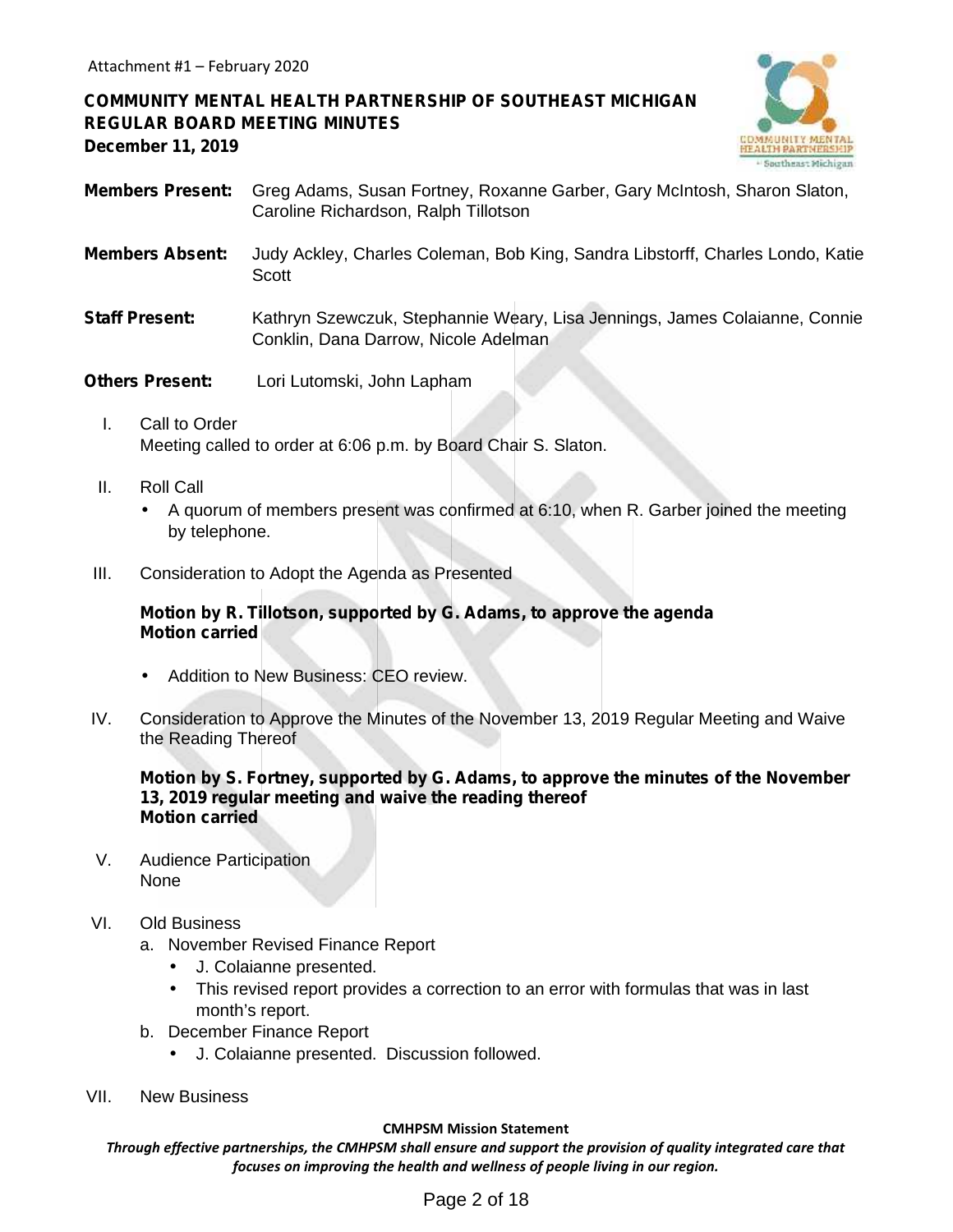# **COMMUNITY MENTAL HEALTH PARTNERSHIP OF SOUTHEAST MICHIGAN REGULAR BOARD MEETING MINUTES December 11, 2019**



- **Members Present:** Greg Adams, Susan Fortney, Roxanne Garber, Gary McIntosh, Sharon Slaton, Caroline Richardson, Ralph Tillotson
- **Members Absent:** Judy Ackley, Charles Coleman, Bob King, Sandra Libstorff, Charles Londo, Katie **Scott**
- **Staff Present:** Kathryn Szewczuk, Stephannie Weary, Lisa Jennings, James Colaianne, Connie Conklin, Dana Darrow, Nicole Adelman
- **Others Present:** Lori Lutomski, John Lapham
	- I. Call to Order Meeting called to order at 6:06 p.m. by Board Chair S. Slaton.
	- II. Roll Call
		- A quorum of members present was confirmed at 6:10, when R. Garber joined the meeting by telephone.
- III. Consideration to Adopt the Agenda as Presented

# **Motion by R. Tillotson, supported by G. Adams, to approve the agenda Motion carried**

- Addition to New Business: CEO review.
- IV. Consideration to Approve the Minutes of the November 13, 2019 Regular Meeting and Waive the Reading Thereof

#### **Motion by S. Fortney, supported by G. Adams, to approve the minutes of the November 13, 2019 regular meeting and waive the reading thereof Motion carried**

- V. Audience Participation None
- VI. Old Business
	- a. November Revised Finance Report
		- J. Colaianne presented.
		- This revised report provides a correction to an error with formulas that was in last month's report.
	- b. December Finance Report
		- J. Colaianne presented. Discussion followed.
- VII. New Business

#### **CMHPSM Mission Statement**

*Through effective partnerships, the CMHPSM shall ensure and support the provision of quality integrated care that focuses on improving the health and wellness of people living in our region.*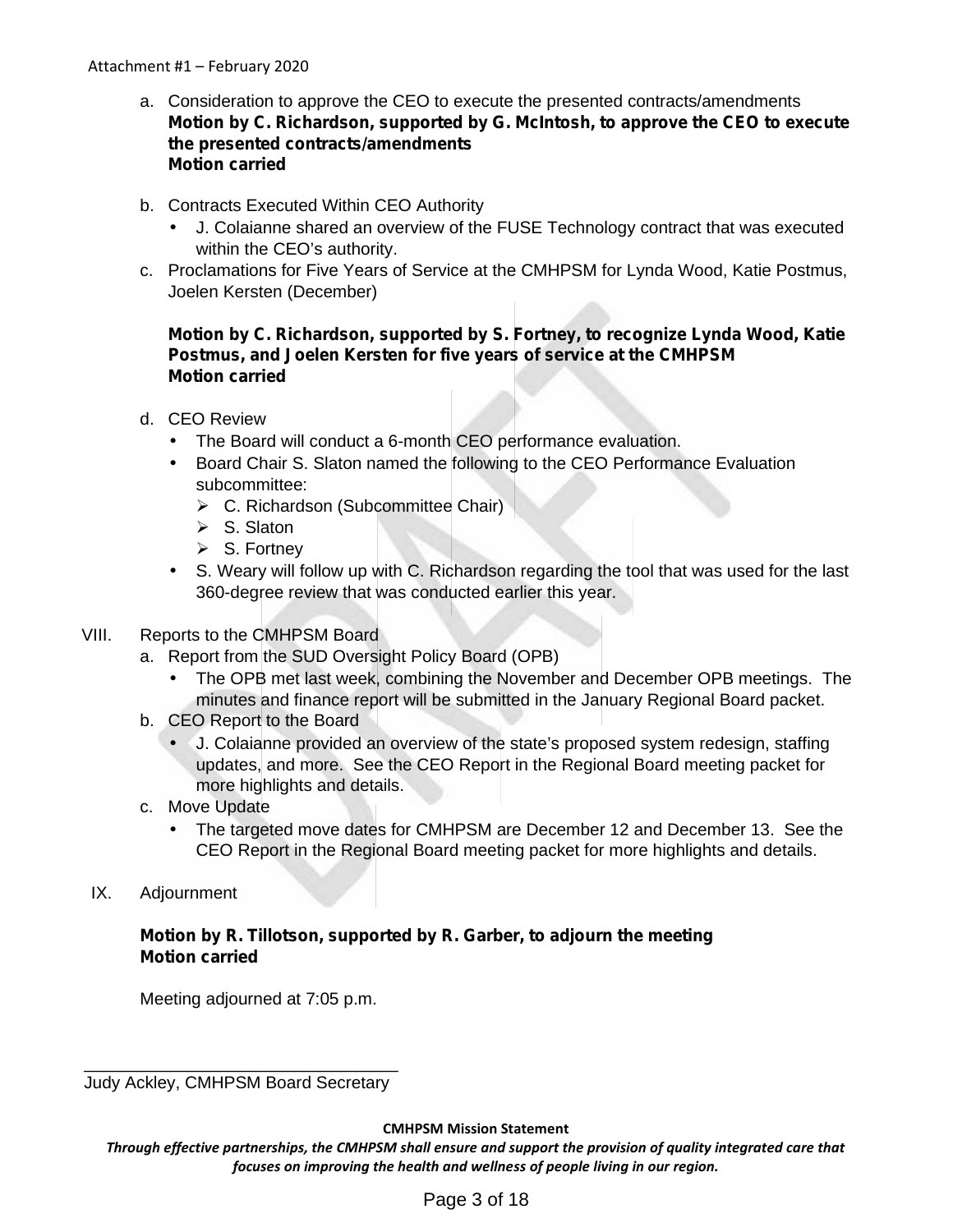- a. Consideration to approve the CEO to execute the presented contracts/amendments **Motion by C. Richardson, supported by G. McIntosh, to approve the CEO to execute the presented contracts/amendments Motion carried**
- b. Contracts Executed Within CEO Authority
	- J. Colaianne shared an overview of the FUSE Technology contract that was executed within the CEO's authority.
- c. Proclamations for Five Years of Service at the CMHPSM for Lynda Wood, Katie Postmus, Joelen Kersten (December)

# **Motion by C. Richardson, supported by S. Fortney, to recognize Lynda Wood, Katie Postmus, and Joelen Kersten for five years of service at the CMHPSM Motion carried**

- d. CEO Review
	- The Board will conduct a 6-month CEO performance evaluation.
	- Board Chair S. Slaton named the following to the CEO Performance Evaluation subcommittee:
		- $\triangleright$  C. Richardson (Subcommittee Chair)
		- $\triangleright$  S. Slaton
		- $\triangleright$  S. Fortney
	- S. Weary will follow up with C. Richardson regarding the tool that was used for the last 360-degree review that was conducted earlier this year.

# VIII. Reports to the CMHPSM Board

- a. Report from the SUD Oversight Policy Board (OPB)
	- The OPB met last week, combining the November and December OPB meetings. The minutes and finance report will be submitted in the January Regional Board packet.
- b. CEO Report to the Board
	- J. Colaianne provided an overview of the state's proposed system redesign, staffing updates, and more. See the CEO Report in the Regional Board meeting packet for more highlights and details.
- c. Move Update
	- The targeted move dates for CMHPSM are December 12 and December 13. See the CEO Report in the Regional Board meeting packet for more highlights and details.
- IX. Adjournment

# **Motion by R. Tillotson, supported by R. Garber, to adjourn the meeting Motion carried**

Meeting adjourned at 7:05 p.m.

\_\_\_\_\_\_\_\_\_\_\_\_\_\_\_\_\_\_\_\_\_\_\_\_\_\_\_\_\_\_\_\_\_ Judy Ackley, CMHPSM Board Secretary

**CMHPSM Mission Statement**

*Through effective partnerships, the CMHPSM shall ensure and support the provision of quality integrated care that focuses on improving the health and wellness of people living in our region.*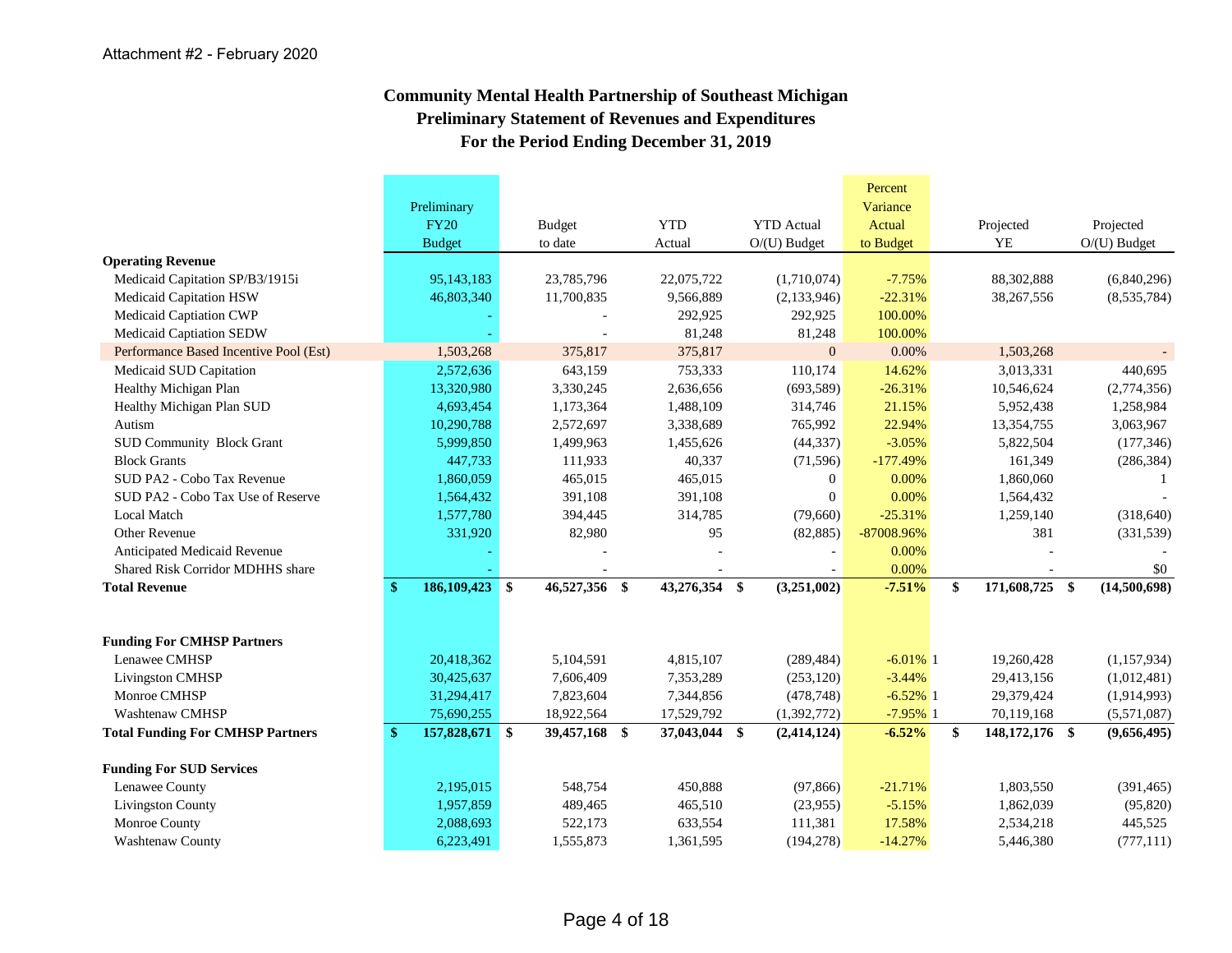# **Community Mental Health Partnership of Southeast Michigan Preliminary Statement of Revenues and Expenditures For the Period Ending December 31, 2019**

|                                         |                                 |                          |               |                   | Percent<br>Variance |                      |                |
|-----------------------------------------|---------------------------------|--------------------------|---------------|-------------------|---------------------|----------------------|----------------|
|                                         | Preliminary<br><b>FY20</b>      |                          | <b>YTD</b>    | <b>YTD</b> Actual | Actual              | Projected            | Projected      |
|                                         | <b>Budget</b>                   | <b>Budget</b><br>to date | Actual        | $O/(U)$ Budget    | to Budget           | YE                   | $O/(U)$ Budget |
| <b>Operating Revenue</b>                |                                 |                          |               |                   |                     |                      |                |
| Medicaid Capitation SP/B3/1915i         | 95,143,183                      | 23,785,796               | 22,075,722    | (1,710,074)       | $-7.75%$            | 88,302,888           | (6,840,296)    |
| Medicaid Capitation HSW                 | 46,803,340                      | 11,700,835               | 9,566,889     | (2,133,946)       | $-22.31%$           | 38,267,556           | (8,535,784)    |
| Medicaid Captiation CWP                 |                                 |                          | 292,925       | 292,925           | 100.00%             |                      |                |
| Medicaid Captiation SEDW                |                                 |                          | 81,248        | 81,248            | 100.00%             |                      |                |
| Performance Based Incentive Pool (Est)  | 1,503,268                       | 375,817                  | 375,817       | $\overline{0}$    | 0.00%               | 1,503,268            |                |
| Medicaid SUD Capitation                 | 2,572,636                       | 643,159                  | 753,333       | 110,174           | 14.62%              | 3,013,331            | 440,695        |
| Healthy Michigan Plan                   | 13,320,980                      | 3,330,245                | 2,636,656     | (693, 589)        | $-26.31%$           | 10,546,624           | (2,774,356)    |
| Healthy Michigan Plan SUD               | 4,693,454                       | 1,173,364                | 1,488,109     | 314,746           | 21.15%              | 5,952,438            | 1,258,984      |
| Autism                                  | 10,290,788                      | 2,572,697                | 3,338,689     | 765,992           | 22.94%              | 13,354,755           | 3,063,967      |
| <b>SUD Community Block Grant</b>        | 5,999,850                       | 1,499,963                | 1,455,626     | (44, 337)         | $-3.05%$            | 5,822,504            | (177, 346)     |
| <b>Block Grants</b>                     | 447,733                         | 111,933                  | 40,337        | (71, 596)         | $-177.49%$          | 161,349              | (286, 384)     |
| SUD PA2 - Cobo Tax Revenue              | 1,860,059                       | 465,015                  | 465,015       | $\overline{0}$    | 0.00%               | 1,860,060            |                |
| SUD PA2 - Cobo Tax Use of Reserve       | 1,564,432                       | 391,108                  | 391,108       | $\overline{0}$    | 0.00%               | 1,564,432            |                |
| <b>Local Match</b>                      | 1,577,780                       | 394,445                  | 314,785       | (79,660)          | $-25.31%$           | 1,259,140            | (318, 640)     |
| Other Revenue                           | 331,920                         | 82,980                   | 95            | (82, 885)         | -87008.96%          | 381                  | (331, 539)     |
| Anticipated Medicaid Revenue            |                                 |                          |               |                   | 0.00%               |                      |                |
| Shared Risk Corridor MDHHS share        |                                 |                          |               |                   | 0.00%               |                      | \$0            |
| <b>Total Revenue</b>                    | 186,109,423 \$<br>$\mathbf{\$}$ | 46,527,356 \$            | 43,276,354 \$ | (3,251,002)       | $-7.51%$            | \$<br>171,608,725 \$ | (14,500,698)   |
|                                         |                                 |                          |               |                   |                     |                      |                |
| <b>Funding For CMHSP Partners</b>       |                                 |                          |               |                   |                     |                      |                |
| Lenawee CMHSP                           | 20,418,362                      | 5,104,591                | 4,815,107     | (289, 484)        | $-6.01\%$ 1         | 19,260,428           | (1,157,934)    |
| Livingston CMHSP                        | 30,425,637                      | 7,606,409                | 7,353,289     | (253, 120)        | $-3.44%$            | 29,413,156           | (1,012,481)    |
| Monroe CMHSP                            | 31,294,417                      | 7,823,604                | 7,344,856     | (478, 748)        | $-6.52\%$ 1         | 29,379,424           | (1,914,993)    |
| <b>Washtenaw CMHSP</b>                  | 75,690,255                      | 18,922,564               | 17,529,792    | (1, 392, 772)     | $-7.95%$ 1          | 70,119,168           | (5,571,087)    |
| <b>Total Funding For CMHSP Partners</b> | \$<br>157,828,671 \$            | 39,457,168 \$            | 37,043,044 \$ | (2, 414, 124)     | $-6.52%$            | \$<br>148,172,176 \$ | (9,656,495)    |
| <b>Funding For SUD Services</b>         |                                 |                          |               |                   |                     |                      |                |
| Lenawee County                          | 2,195,015                       | 548,754                  | 450,888       | (97, 866)         | $-21.71%$           | 1,803,550            | (391, 465)     |
| <b>Livingston County</b>                | 1,957,859                       | 489,465                  | 465,510       | (23,955)          | $-5.15%$            | 1,862,039            | (95, 820)      |
| Monroe County                           | 2,088,693                       | 522,173                  | 633,554       | 111,381           | 17.58%              | 2,534,218            | 445,525        |
| Washtenaw County                        | 6,223,491                       | 1,555,873                | 1,361,595     | (194, 278)        | $-14.27%$           | 5,446,380            | (777, 111)     |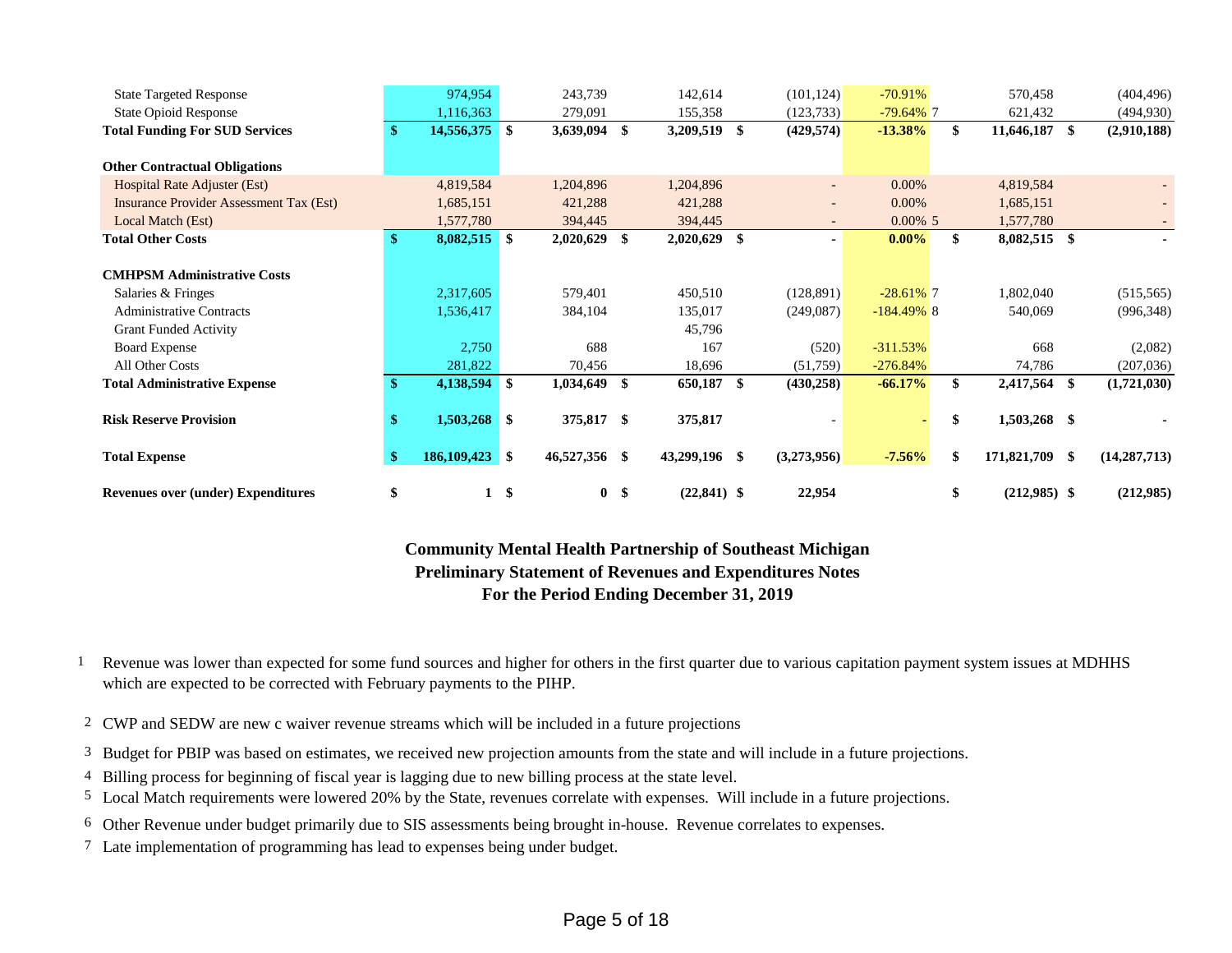| <b>State Targeted Response</b>                 |    | 974,954        |     | 243,739        | 142,614        | (101, 124)  | $-70.91%$     |    | 570,458        |      | (404, 496)     |
|------------------------------------------------|----|----------------|-----|----------------|----------------|-------------|---------------|----|----------------|------|----------------|
| <b>State Opioid Response</b>                   |    | 1,116,363      |     | 279,091        | 155,358        | (123, 733)  | $-79.64\%$ 7  |    | 621,432        |      | (494, 930)     |
| <b>Total Funding For SUD Services</b>          | w  | 14,556,375 \$  |     | 3,639,094 \$   | 3,209,519 \$   | (429, 574)  | $-13.38\%$    | \$ | 11,646,187     | -\$  | (2,910,188)    |
|                                                |    |                |     |                |                |             |               |    |                |      |                |
| <b>Other Contractual Obligations</b>           |    |                |     |                |                |             |               |    |                |      |                |
| Hospital Rate Adjuster (Est)                   |    | 4,819,584      |     | 1,204,896      | 1,204,896      |             | 0.00%         |    | 4,819,584      |      |                |
| <b>Insurance Provider Assessment Tax (Est)</b> |    | 1,685,151      |     | 421,288        | 421,288        |             | 0.00%         |    | 1,685,151      |      |                |
| Local Match (Est)                              |    | 1,577,780      |     | 394,445        | 394,445        |             | $0.00\%$ 5    |    | 1,577,780      |      |                |
| <b>Total Other Costs</b>                       | \$ | 8,082,515 \$   |     | 2,020,629 \$   | $2,020,629$ \$ |             | $0.00\%$      | \$ | 8,082,515 \$   |      |                |
|                                                |    |                |     |                |                |             |               |    |                |      |                |
| <b>CMHPSM Administrative Costs</b>             |    |                |     |                |                |             |               |    |                |      |                |
| Salaries & Fringes                             |    | 2,317,605      |     | 579,401        | 450,510        | (128, 891)  | $-28.61\%$ 7  |    | 1,802,040      |      | (515, 565)     |
| <b>Administrative Contracts</b>                |    | 1,536,417      |     | 384,104        | 135,017        | (249,087)   | $-184.49\%$ 8 |    | 540,069        |      | (996, 348)     |
| <b>Grant Funded Activity</b>                   |    |                |     |                | 45,796         |             |               |    |                |      |                |
| <b>Board Expense</b>                           |    | 2,750          |     | 688            | 167            | (520)       | $-311.53%$    |    | 668            |      | (2,082)        |
| All Other Costs                                |    | 281,822        |     | 70,456         | 18,696         | (51,759)    | $-276.84%$    |    | 74,786         |      | (207, 036)     |
| <b>Total Administrative Expense</b>            |    | 4,138,594      | ∣\$ | 1,034,649 \$   | 650,187 \$     | (430, 258)  | $-66.17%$     | \$ | 2,417,564 \$   |      | (1,721,030)    |
|                                                |    |                |     |                |                |             |               |    |                |      |                |
| <b>Risk Reserve Provision</b>                  | э  | $1,503,268$ \$ |     | 375,817 \$     | 375,817        |             |               | \$ | 1,503,268 \$   |      |                |
|                                                |    |                |     |                |                |             |               |    |                |      |                |
| <b>Total Expense</b>                           | \$ | 186,109,423 \$ |     | 46,527,356 \$  | 43,299,196 \$  | (3,273,956) | $-7.56%$      | \$ | 171,821,709    | - \$ | (14, 287, 713) |
|                                                |    |                |     |                |                |             |               |    |                |      |                |
| <b>Revenues over (under) Expenditures</b>      | \$ | $\mathbf{1}$   | -\$ | 0 <sup>5</sup> | $(22, 841)$ \$ | 22,954      |               | \$ | $(212,985)$ \$ |      | (212,985)      |

**Community Mental Health Partnership of Southeast Michigan Preliminary Statement of Revenues and Expenditures Notes For the Period Ending December 31, 2019**

- 1 Revenue was lower than expected for some fund sources and higher for others in the first quarter due to various capitation payment system issues at MDHHS which are expected to be corrected with February payments to the PIHP.
- 2 CWP and SEDW are new c waiver revenue streams which will be included in a future projections
- 3 Budget for PBIP was based on estimates, we received new projection amounts from the state and will include in a future projections.
- 4 Billing process for beginning of fiscal year is lagging due to new billing process at the state level.
- 5 Local Match requirements were lowered 20% by the State, revenues correlate with expenses. Will include in a future projections.
- 6 Other Revenue under budget primarily due to SIS assessments being brought in-house. Revenue correlates to expenses.
- 7 Late implementation of programming has lead to expenses being under budget.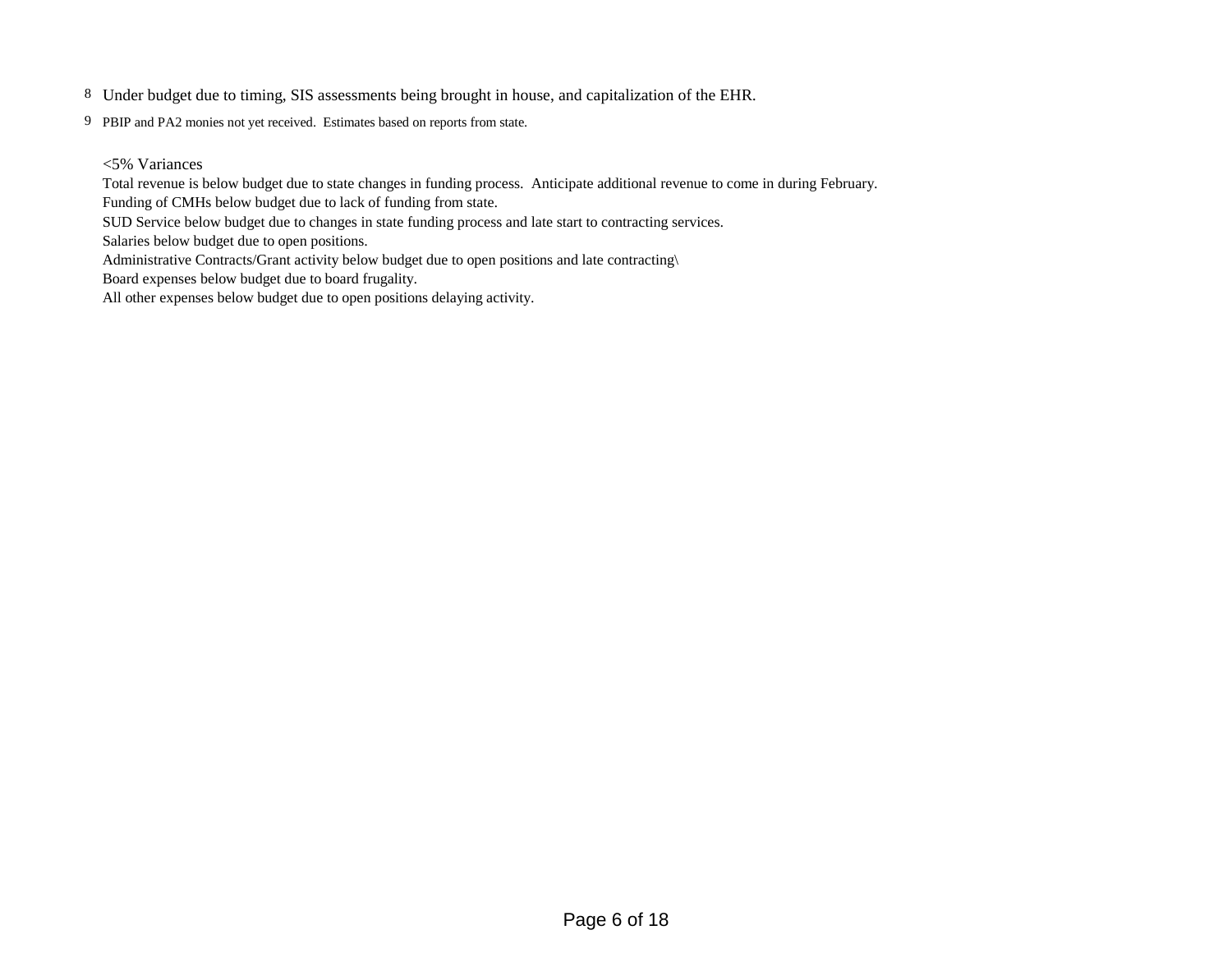- 8 Under budget due to timing, SIS assessments being brought in house, and capitalization of the EHR.
- 9 PBIP and PA2 monies not yet received. Estimates based on reports from state.
	- <5% Variances

Total revenue is below budget due to state changes in funding process. Anticipate additional revenue to come in during February.

Funding of CMHs below budget due to lack of funding from state.

SUD Service below budget due to changes in state funding process and late start to contracting services.

Salaries below budget due to open positions.

Administrative Contracts/Grant activity below budget due to open positions and late contracting\

Board expenses below budget due to board frugality.

All other expenses below budget due to open positions delaying activity.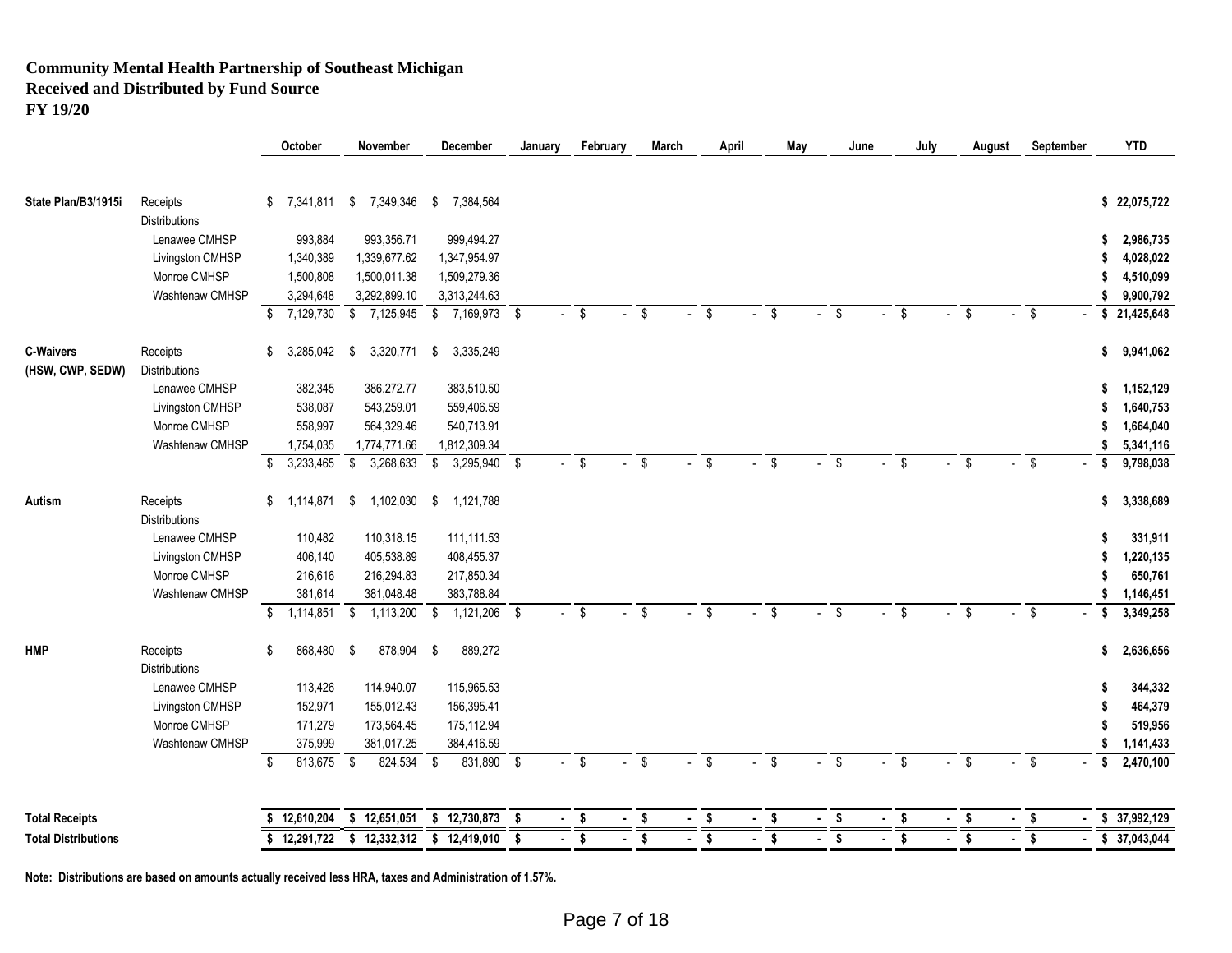# **Community Mental Health Partnership of Southeast Michigan Received and Distributed by Fund Source**

**FY 19/20**

| State Plan/B3/1915i<br>7,341,811<br>7,349,346<br>7,384,564<br>\$22,075,722<br>Receipts<br>\$<br>-\$<br>\$<br><b>Distributions</b><br>Lenawee CMHSP<br>993,884<br>993,356.71<br>999,494.27<br>2,986,735<br>\$<br>1,339,677.62<br>Livingston CMHSP<br>1,340,389<br>1,347,954.97<br>4,028,022<br>Monroe CMHSP<br>1,500,808<br>1,500,011.38<br>1,509,279.36<br>4,510,099<br>Washtenaw CMHSP<br>3,294,648<br>3,292,899.10<br>3,313,244.63<br>9,900,792<br>S<br>$\frac{1}{2}$ 7,169,973 $\frac{1}{2}$<br>$\sqrt[6]{3}$<br>\$<br>7,129,730<br>\$7,125,945<br>$-5$<br>\$<br>\$<br>$-5$<br>Ŝ.<br>\$<br>21,425,648<br>S.<br>\$<br>$\sim$<br>$\overline{a}$<br>$\mathcal{L}^{\pm}$<br>$\sim$<br>3,285,042<br>3,320,771<br>3,335,249<br>9,941,062<br>Receipts<br>\$<br>\$<br>\$<br>\$.<br><b>Distributions</b><br>Lenawee CMHSP<br>386,272.77<br>382,345<br>383,510.50<br>1,152,129<br>S<br>543,259.01<br>1,640,753<br>Livingston CMHSP<br>538,087<br>559,406.59<br>S<br>Monroe CMHSP<br>558,997<br>564,329.46<br>540,713.91<br>1,664,040<br>S<br>1,774,771.66<br>1,812,309.34<br>Washtenaw CMHSP<br>1,754,035<br>5,341,116<br>\$<br>3,233,465<br>3,268,633<br>3,295,940 \$<br>$-$ \$<br>\$<br>\$<br>\$<br>9,798,038<br>\$<br>\$<br>- \$<br>$-$ \$<br>\$<br>\$<br>\$<br>\$<br>$\mathcal{L}_{\mathcal{A}}$<br>$\sim$<br>1,114,871<br>1,102,030<br>1,121,788<br>3,338,689<br>Autism<br>Receipts<br>\$<br>- \$<br>- \$<br>S<br><b>Distributions</b><br>Lenawee CMHSP<br>110,318.15<br>111,111.53<br>110,482<br>331,911<br>Livingston CMHSP<br>406,140<br>405,538.89<br>408,455.37<br>1,220,135<br>S<br>Monroe CMHSP<br>217,850.34<br>650,761<br>216,616<br>216,294.83<br>381,048.48<br>383,788.84<br>Washtenaw CMHSP<br>381,614<br>1,146,451<br>\$<br>$1,121,206$ \$<br>$\overline{\cdot}$ s<br>$\sqrt[6]{3}$<br>\$<br>$\overline{\cdot}$ s<br>\$<br>\$<br>1,114,851<br>$\overline{\$}$<br>1,113,200<br>\$<br>$\mathbf{\hat{s}}$<br>\$<br>3,349,258<br>\$<br>868,480<br>878,904<br>889,272<br>Receipts<br>\$<br>2,636,656<br>- \$<br>\$<br><b>Distributions</b><br>Lenawee CMHSP<br>114,940.07<br>113,426<br>115,965.53<br>344,332<br>152,971<br>155,012.43<br>156,395.41<br>464,379<br>Livingston CMHSP<br>Monroe CMHSP<br>171,279<br>519,956<br>173,564.45<br>175,112.94<br>Washtenaw CMHSP<br>375,999<br>381,017.25<br>384,416.59<br>1,141,433<br>\$<br>$\mathbf{\hat{s}}$<br>813,675 \$<br>824,534<br>831,890 \$<br>\$<br>\$<br>$\mathfrak{L}$<br>2,470,100<br>\$<br>\$<br>-S<br>\$<br>Ŝ.<br>\$<br>$\sqrt[6]{\frac{1}{2}}$<br>\$37,992,129<br>12,610,204<br>\$12,651,051<br>\$12,730,873<br>$-$ \$<br>$-$ \$<br>$\mathbf{s}$<br>$\sqrt{2}$<br>$-$ \$<br>\$<br>S.<br>\$<br>$\blacksquare$<br>$\blacksquare$<br>$\blacksquare$ |                            |  | October    | November | December     | January | February | March      | April | May | June |    | July | August | September | <b>YTD</b>    |
|-------------------------------------------------------------------------------------------------------------------------------------------------------------------------------------------------------------------------------------------------------------------------------------------------------------------------------------------------------------------------------------------------------------------------------------------------------------------------------------------------------------------------------------------------------------------------------------------------------------------------------------------------------------------------------------------------------------------------------------------------------------------------------------------------------------------------------------------------------------------------------------------------------------------------------------------------------------------------------------------------------------------------------------------------------------------------------------------------------------------------------------------------------------------------------------------------------------------------------------------------------------------------------------------------------------------------------------------------------------------------------------------------------------------------------------------------------------------------------------------------------------------------------------------------------------------------------------------------------------------------------------------------------------------------------------------------------------------------------------------------------------------------------------------------------------------------------------------------------------------------------------------------------------------------------------------------------------------------------------------------------------------------------------------------------------------------------------------------------------------------------------------------------------------------------------------------------------------------------------------------------------------------------------------------------------------------------------------------------------------------------------------------------------------------------------------------------------------------------------------------------------------------------------------------------------------------------------------------------------------------------------------------------------------------------------------------------------------|----------------------------|--|------------|----------|--------------|---------|----------|------------|-------|-----|------|----|------|--------|-----------|---------------|
|                                                                                                                                                                                                                                                                                                                                                                                                                                                                                                                                                                                                                                                                                                                                                                                                                                                                                                                                                                                                                                                                                                                                                                                                                                                                                                                                                                                                                                                                                                                                                                                                                                                                                                                                                                                                                                                                                                                                                                                                                                                                                                                                                                                                                                                                                                                                                                                                                                                                                                                                                                                                                                                                                                                   |                            |  |            |          |              |         |          |            |       |     |      |    |      |        |           |               |
|                                                                                                                                                                                                                                                                                                                                                                                                                                                                                                                                                                                                                                                                                                                                                                                                                                                                                                                                                                                                                                                                                                                                                                                                                                                                                                                                                                                                                                                                                                                                                                                                                                                                                                                                                                                                                                                                                                                                                                                                                                                                                                                                                                                                                                                                                                                                                                                                                                                                                                                                                                                                                                                                                                                   |                            |  |            |          |              |         |          |            |       |     |      |    |      |        |           |               |
|                                                                                                                                                                                                                                                                                                                                                                                                                                                                                                                                                                                                                                                                                                                                                                                                                                                                                                                                                                                                                                                                                                                                                                                                                                                                                                                                                                                                                                                                                                                                                                                                                                                                                                                                                                                                                                                                                                                                                                                                                                                                                                                                                                                                                                                                                                                                                                                                                                                                                                                                                                                                                                                                                                                   |                            |  |            |          |              |         |          |            |       |     |      |    |      |        |           |               |
|                                                                                                                                                                                                                                                                                                                                                                                                                                                                                                                                                                                                                                                                                                                                                                                                                                                                                                                                                                                                                                                                                                                                                                                                                                                                                                                                                                                                                                                                                                                                                                                                                                                                                                                                                                                                                                                                                                                                                                                                                                                                                                                                                                                                                                                                                                                                                                                                                                                                                                                                                                                                                                                                                                                   |                            |  |            |          |              |         |          |            |       |     |      |    |      |        |           |               |
|                                                                                                                                                                                                                                                                                                                                                                                                                                                                                                                                                                                                                                                                                                                                                                                                                                                                                                                                                                                                                                                                                                                                                                                                                                                                                                                                                                                                                                                                                                                                                                                                                                                                                                                                                                                                                                                                                                                                                                                                                                                                                                                                                                                                                                                                                                                                                                                                                                                                                                                                                                                                                                                                                                                   |                            |  |            |          |              |         |          |            |       |     |      |    |      |        |           |               |
|                                                                                                                                                                                                                                                                                                                                                                                                                                                                                                                                                                                                                                                                                                                                                                                                                                                                                                                                                                                                                                                                                                                                                                                                                                                                                                                                                                                                                                                                                                                                                                                                                                                                                                                                                                                                                                                                                                                                                                                                                                                                                                                                                                                                                                                                                                                                                                                                                                                                                                                                                                                                                                                                                                                   |                            |  |            |          |              |         |          |            |       |     |      |    |      |        |           |               |
|                                                                                                                                                                                                                                                                                                                                                                                                                                                                                                                                                                                                                                                                                                                                                                                                                                                                                                                                                                                                                                                                                                                                                                                                                                                                                                                                                                                                                                                                                                                                                                                                                                                                                                                                                                                                                                                                                                                                                                                                                                                                                                                                                                                                                                                                                                                                                                                                                                                                                                                                                                                                                                                                                                                   |                            |  |            |          |              |         |          |            |       |     |      |    |      |        |           |               |
|                                                                                                                                                                                                                                                                                                                                                                                                                                                                                                                                                                                                                                                                                                                                                                                                                                                                                                                                                                                                                                                                                                                                                                                                                                                                                                                                                                                                                                                                                                                                                                                                                                                                                                                                                                                                                                                                                                                                                                                                                                                                                                                                                                                                                                                                                                                                                                                                                                                                                                                                                                                                                                                                                                                   |                            |  |            |          |              |         |          |            |       |     |      |    |      |        |           |               |
|                                                                                                                                                                                                                                                                                                                                                                                                                                                                                                                                                                                                                                                                                                                                                                                                                                                                                                                                                                                                                                                                                                                                                                                                                                                                                                                                                                                                                                                                                                                                                                                                                                                                                                                                                                                                                                                                                                                                                                                                                                                                                                                                                                                                                                                                                                                                                                                                                                                                                                                                                                                                                                                                                                                   |                            |  |            |          |              |         |          |            |       |     |      |    |      |        |           |               |
|                                                                                                                                                                                                                                                                                                                                                                                                                                                                                                                                                                                                                                                                                                                                                                                                                                                                                                                                                                                                                                                                                                                                                                                                                                                                                                                                                                                                                                                                                                                                                                                                                                                                                                                                                                                                                                                                                                                                                                                                                                                                                                                                                                                                                                                                                                                                                                                                                                                                                                                                                                                                                                                                                                                   | <b>C-Waivers</b>           |  |            |          |              |         |          |            |       |     |      |    |      |        |           |               |
|                                                                                                                                                                                                                                                                                                                                                                                                                                                                                                                                                                                                                                                                                                                                                                                                                                                                                                                                                                                                                                                                                                                                                                                                                                                                                                                                                                                                                                                                                                                                                                                                                                                                                                                                                                                                                                                                                                                                                                                                                                                                                                                                                                                                                                                                                                                                                                                                                                                                                                                                                                                                                                                                                                                   | (HSW, CWP, SEDW)           |  |            |          |              |         |          |            |       |     |      |    |      |        |           |               |
|                                                                                                                                                                                                                                                                                                                                                                                                                                                                                                                                                                                                                                                                                                                                                                                                                                                                                                                                                                                                                                                                                                                                                                                                                                                                                                                                                                                                                                                                                                                                                                                                                                                                                                                                                                                                                                                                                                                                                                                                                                                                                                                                                                                                                                                                                                                                                                                                                                                                                                                                                                                                                                                                                                                   |                            |  |            |          |              |         |          |            |       |     |      |    |      |        |           |               |
|                                                                                                                                                                                                                                                                                                                                                                                                                                                                                                                                                                                                                                                                                                                                                                                                                                                                                                                                                                                                                                                                                                                                                                                                                                                                                                                                                                                                                                                                                                                                                                                                                                                                                                                                                                                                                                                                                                                                                                                                                                                                                                                                                                                                                                                                                                                                                                                                                                                                                                                                                                                                                                                                                                                   |                            |  |            |          |              |         |          |            |       |     |      |    |      |        |           |               |
|                                                                                                                                                                                                                                                                                                                                                                                                                                                                                                                                                                                                                                                                                                                                                                                                                                                                                                                                                                                                                                                                                                                                                                                                                                                                                                                                                                                                                                                                                                                                                                                                                                                                                                                                                                                                                                                                                                                                                                                                                                                                                                                                                                                                                                                                                                                                                                                                                                                                                                                                                                                                                                                                                                                   |                            |  |            |          |              |         |          |            |       |     |      |    |      |        |           |               |
|                                                                                                                                                                                                                                                                                                                                                                                                                                                                                                                                                                                                                                                                                                                                                                                                                                                                                                                                                                                                                                                                                                                                                                                                                                                                                                                                                                                                                                                                                                                                                                                                                                                                                                                                                                                                                                                                                                                                                                                                                                                                                                                                                                                                                                                                                                                                                                                                                                                                                                                                                                                                                                                                                                                   |                            |  |            |          |              |         |          |            |       |     |      |    |      |        |           |               |
|                                                                                                                                                                                                                                                                                                                                                                                                                                                                                                                                                                                                                                                                                                                                                                                                                                                                                                                                                                                                                                                                                                                                                                                                                                                                                                                                                                                                                                                                                                                                                                                                                                                                                                                                                                                                                                                                                                                                                                                                                                                                                                                                                                                                                                                                                                                                                                                                                                                                                                                                                                                                                                                                                                                   |                            |  |            |          |              |         |          |            |       |     |      |    |      |        |           |               |
|                                                                                                                                                                                                                                                                                                                                                                                                                                                                                                                                                                                                                                                                                                                                                                                                                                                                                                                                                                                                                                                                                                                                                                                                                                                                                                                                                                                                                                                                                                                                                                                                                                                                                                                                                                                                                                                                                                                                                                                                                                                                                                                                                                                                                                                                                                                                                                                                                                                                                                                                                                                                                                                                                                                   |                            |  |            |          |              |         |          |            |       |     |      |    |      |        |           |               |
|                                                                                                                                                                                                                                                                                                                                                                                                                                                                                                                                                                                                                                                                                                                                                                                                                                                                                                                                                                                                                                                                                                                                                                                                                                                                                                                                                                                                                                                                                                                                                                                                                                                                                                                                                                                                                                                                                                                                                                                                                                                                                                                                                                                                                                                                                                                                                                                                                                                                                                                                                                                                                                                                                                                   |                            |  |            |          |              |         |          |            |       |     |      |    |      |        |           |               |
|                                                                                                                                                                                                                                                                                                                                                                                                                                                                                                                                                                                                                                                                                                                                                                                                                                                                                                                                                                                                                                                                                                                                                                                                                                                                                                                                                                                                                                                                                                                                                                                                                                                                                                                                                                                                                                                                                                                                                                                                                                                                                                                                                                                                                                                                                                                                                                                                                                                                                                                                                                                                                                                                                                                   |                            |  |            |          |              |         |          |            |       |     |      |    |      |        |           |               |
|                                                                                                                                                                                                                                                                                                                                                                                                                                                                                                                                                                                                                                                                                                                                                                                                                                                                                                                                                                                                                                                                                                                                                                                                                                                                                                                                                                                                                                                                                                                                                                                                                                                                                                                                                                                                                                                                                                                                                                                                                                                                                                                                                                                                                                                                                                                                                                                                                                                                                                                                                                                                                                                                                                                   |                            |  |            |          |              |         |          |            |       |     |      |    |      |        |           |               |
|                                                                                                                                                                                                                                                                                                                                                                                                                                                                                                                                                                                                                                                                                                                                                                                                                                                                                                                                                                                                                                                                                                                                                                                                                                                                                                                                                                                                                                                                                                                                                                                                                                                                                                                                                                                                                                                                                                                                                                                                                                                                                                                                                                                                                                                                                                                                                                                                                                                                                                                                                                                                                                                                                                                   |                            |  |            |          |              |         |          |            |       |     |      |    |      |        |           |               |
|                                                                                                                                                                                                                                                                                                                                                                                                                                                                                                                                                                                                                                                                                                                                                                                                                                                                                                                                                                                                                                                                                                                                                                                                                                                                                                                                                                                                                                                                                                                                                                                                                                                                                                                                                                                                                                                                                                                                                                                                                                                                                                                                                                                                                                                                                                                                                                                                                                                                                                                                                                                                                                                                                                                   |                            |  |            |          |              |         |          |            |       |     |      |    |      |        |           |               |
|                                                                                                                                                                                                                                                                                                                                                                                                                                                                                                                                                                                                                                                                                                                                                                                                                                                                                                                                                                                                                                                                                                                                                                                                                                                                                                                                                                                                                                                                                                                                                                                                                                                                                                                                                                                                                                                                                                                                                                                                                                                                                                                                                                                                                                                                                                                                                                                                                                                                                                                                                                                                                                                                                                                   |                            |  |            |          |              |         |          |            |       |     |      |    |      |        |           |               |
|                                                                                                                                                                                                                                                                                                                                                                                                                                                                                                                                                                                                                                                                                                                                                                                                                                                                                                                                                                                                                                                                                                                                                                                                                                                                                                                                                                                                                                                                                                                                                                                                                                                                                                                                                                                                                                                                                                                                                                                                                                                                                                                                                                                                                                                                                                                                                                                                                                                                                                                                                                                                                                                                                                                   |                            |  |            |          |              |         |          |            |       |     |      |    |      |        |           |               |
|                                                                                                                                                                                                                                                                                                                                                                                                                                                                                                                                                                                                                                                                                                                                                                                                                                                                                                                                                                                                                                                                                                                                                                                                                                                                                                                                                                                                                                                                                                                                                                                                                                                                                                                                                                                                                                                                                                                                                                                                                                                                                                                                                                                                                                                                                                                                                                                                                                                                                                                                                                                                                                                                                                                   | <b>HMP</b>                 |  |            |          |              |         |          |            |       |     |      |    |      |        |           |               |
|                                                                                                                                                                                                                                                                                                                                                                                                                                                                                                                                                                                                                                                                                                                                                                                                                                                                                                                                                                                                                                                                                                                                                                                                                                                                                                                                                                                                                                                                                                                                                                                                                                                                                                                                                                                                                                                                                                                                                                                                                                                                                                                                                                                                                                                                                                                                                                                                                                                                                                                                                                                                                                                                                                                   |                            |  |            |          |              |         |          |            |       |     |      |    |      |        |           |               |
|                                                                                                                                                                                                                                                                                                                                                                                                                                                                                                                                                                                                                                                                                                                                                                                                                                                                                                                                                                                                                                                                                                                                                                                                                                                                                                                                                                                                                                                                                                                                                                                                                                                                                                                                                                                                                                                                                                                                                                                                                                                                                                                                                                                                                                                                                                                                                                                                                                                                                                                                                                                                                                                                                                                   |                            |  |            |          |              |         |          |            |       |     |      |    |      |        |           |               |
|                                                                                                                                                                                                                                                                                                                                                                                                                                                                                                                                                                                                                                                                                                                                                                                                                                                                                                                                                                                                                                                                                                                                                                                                                                                                                                                                                                                                                                                                                                                                                                                                                                                                                                                                                                                                                                                                                                                                                                                                                                                                                                                                                                                                                                                                                                                                                                                                                                                                                                                                                                                                                                                                                                                   |                            |  |            |          |              |         |          |            |       |     |      |    |      |        |           |               |
|                                                                                                                                                                                                                                                                                                                                                                                                                                                                                                                                                                                                                                                                                                                                                                                                                                                                                                                                                                                                                                                                                                                                                                                                                                                                                                                                                                                                                                                                                                                                                                                                                                                                                                                                                                                                                                                                                                                                                                                                                                                                                                                                                                                                                                                                                                                                                                                                                                                                                                                                                                                                                                                                                                                   |                            |  |            |          |              |         |          |            |       |     |      |    |      |        |           |               |
|                                                                                                                                                                                                                                                                                                                                                                                                                                                                                                                                                                                                                                                                                                                                                                                                                                                                                                                                                                                                                                                                                                                                                                                                                                                                                                                                                                                                                                                                                                                                                                                                                                                                                                                                                                                                                                                                                                                                                                                                                                                                                                                                                                                                                                                                                                                                                                                                                                                                                                                                                                                                                                                                                                                   |                            |  |            |          |              |         |          |            |       |     |      |    |      |        |           |               |
|                                                                                                                                                                                                                                                                                                                                                                                                                                                                                                                                                                                                                                                                                                                                                                                                                                                                                                                                                                                                                                                                                                                                                                                                                                                                                                                                                                                                                                                                                                                                                                                                                                                                                                                                                                                                                                                                                                                                                                                                                                                                                                                                                                                                                                                                                                                                                                                                                                                                                                                                                                                                                                                                                                                   |                            |  |            |          |              |         |          |            |       |     |      |    |      |        |           |               |
|                                                                                                                                                                                                                                                                                                                                                                                                                                                                                                                                                                                                                                                                                                                                                                                                                                                                                                                                                                                                                                                                                                                                                                                                                                                                                                                                                                                                                                                                                                                                                                                                                                                                                                                                                                                                                                                                                                                                                                                                                                                                                                                                                                                                                                                                                                                                                                                                                                                                                                                                                                                                                                                                                                                   |                            |  |            |          |              |         |          |            |       |     |      |    |      |        |           |               |
|                                                                                                                                                                                                                                                                                                                                                                                                                                                                                                                                                                                                                                                                                                                                                                                                                                                                                                                                                                                                                                                                                                                                                                                                                                                                                                                                                                                                                                                                                                                                                                                                                                                                                                                                                                                                                                                                                                                                                                                                                                                                                                                                                                                                                                                                                                                                                                                                                                                                                                                                                                                                                                                                                                                   | <b>Total Receipts</b>      |  |            |          |              |         |          |            |       |     |      |    |      |        |           |               |
| \$12,332,312<br>\$<br>$\blacksquare$                                                                                                                                                                                                                                                                                                                                                                                                                                                                                                                                                                                                                                                                                                                                                                                                                                                                                                                                                                                                                                                                                                                                                                                                                                                                                                                                                                                                                                                                                                                                                                                                                                                                                                                                                                                                                                                                                                                                                                                                                                                                                                                                                                                                                                                                                                                                                                                                                                                                                                                                                                                                                                                                              | <b>Total Distributions</b> |  | 12,291,722 |          | \$12,419,010 | \$      | \$       | $\sqrt{2}$ | \$    |     | \$   | S. |      | S.     | \$        | \$ 37,043,044 |

**Note: Distributions are based on amounts actually received less HRA, taxes and Administration of 1.57%.**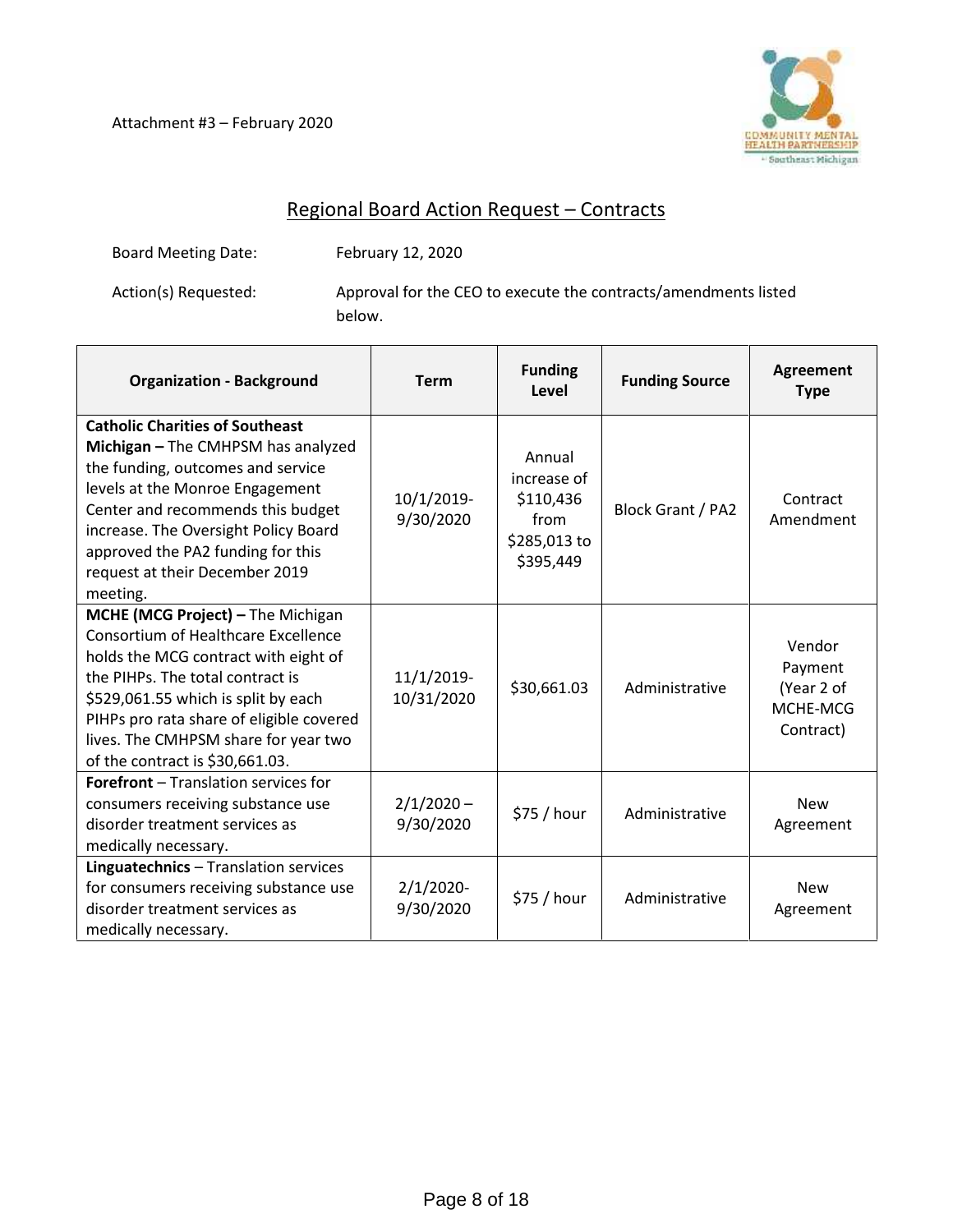Attachment #3 – February 2020



# Regional Board Action Request – Contracts

Board Meeting Date: February 12, 2020

Action(s) Requested: Approval for the CEO to execute the contracts/amendments listed below.

| <b>Organization - Background</b>                                                                                                                                                                                                                                                                                          | <b>Term</b>               | <b>Funding</b><br>Level                                                 | <b>Funding Source</b> | <b>Agreement</b><br><b>Type</b>                          |
|---------------------------------------------------------------------------------------------------------------------------------------------------------------------------------------------------------------------------------------------------------------------------------------------------------------------------|---------------------------|-------------------------------------------------------------------------|-----------------------|----------------------------------------------------------|
| <b>Catholic Charities of Southeast</b><br>Michigan - The CMHPSM has analyzed<br>the funding, outcomes and service<br>levels at the Monroe Engagement<br>Center and recommends this budget<br>increase. The Oversight Policy Board<br>approved the PA2 funding for this<br>request at their December 2019<br>meeting.      | 10/1/2019-<br>9/30/2020   | Annual<br>increase of<br>\$110,436<br>from<br>\$285,013 to<br>\$395,449 | Block Grant / PA2     | Contract<br>Amendment                                    |
| MCHE (MCG Project) - The Michigan<br><b>Consortium of Healthcare Excellence</b><br>holds the MCG contract with eight of<br>the PIHPs. The total contract is<br>\$529,061.55 which is split by each<br>PIHPs pro rata share of eligible covered<br>lives. The CMHPSM share for year two<br>of the contract is \$30,661.03. | 11/1/2019-<br>10/31/2020  | \$30,661.03                                                             | Administrative        | Vendor<br>Payment<br>(Year 2 of<br>MCHE-MCG<br>Contract) |
| <b>Forefront</b> - Translation services for<br>consumers receiving substance use<br>disorder treatment services as<br>medically necessary.                                                                                                                                                                                | $2/1/2020 -$<br>9/30/2020 | \$75 / hour                                                             | Administrative        | <b>New</b><br>Agreement                                  |
| Linguatechnics - Translation services<br>for consumers receiving substance use<br>disorder treatment services as<br>medically necessary.                                                                                                                                                                                  | $2/1/2020$ -<br>9/30/2020 | \$75 / hour                                                             | Administrative        | <b>New</b><br>Agreement                                  |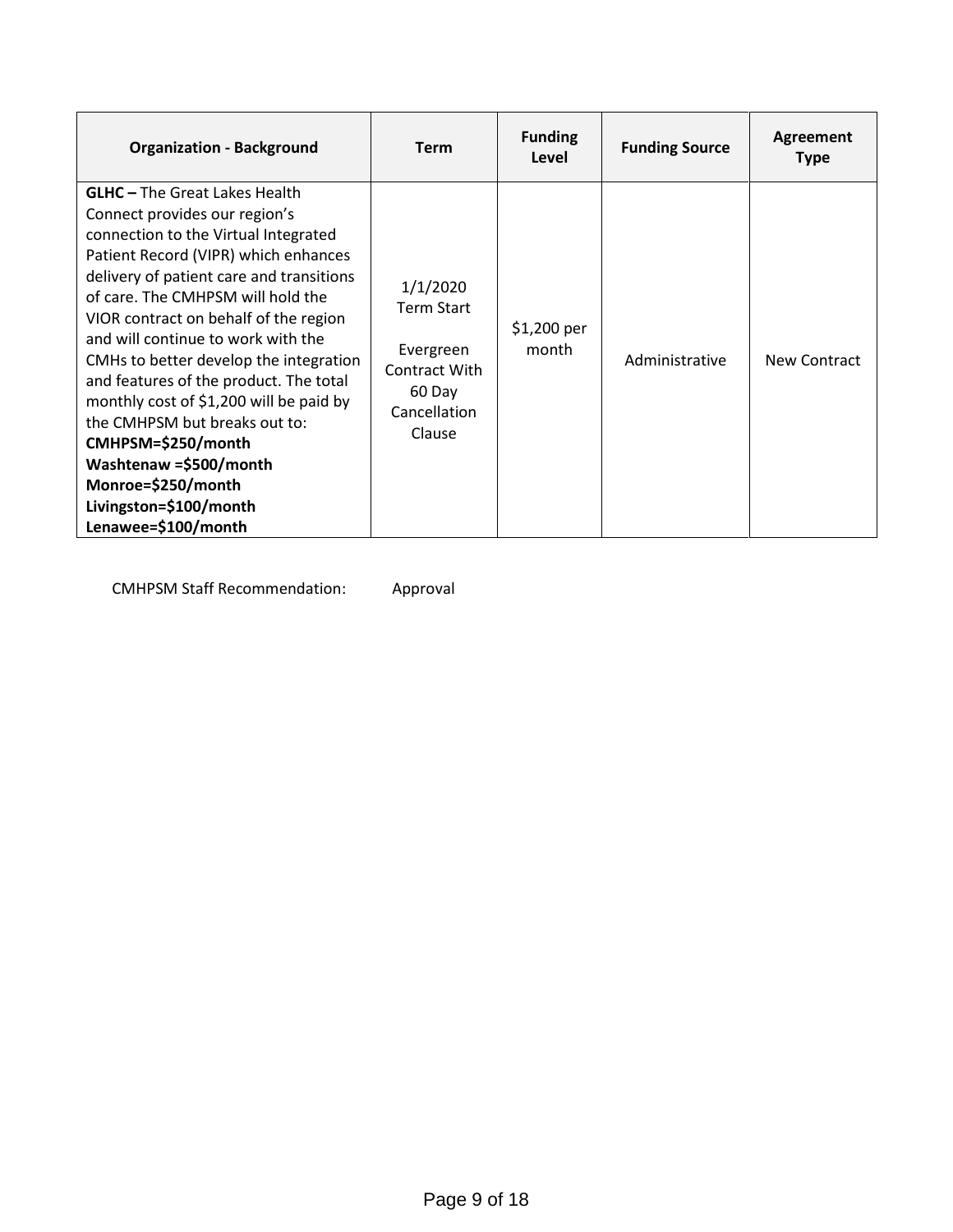| <b>Organization - Background</b>                                                                                                                                                                                                                                                                                                                                                                                                                                                                                                                                                                             | <b>Term</b>                                                                                     | <b>Funding</b><br>Level | <b>Funding Source</b> | Agreement<br><b>Type</b> |
|--------------------------------------------------------------------------------------------------------------------------------------------------------------------------------------------------------------------------------------------------------------------------------------------------------------------------------------------------------------------------------------------------------------------------------------------------------------------------------------------------------------------------------------------------------------------------------------------------------------|-------------------------------------------------------------------------------------------------|-------------------------|-----------------------|--------------------------|
| <b>GLHC</b> - The Great Lakes Health<br>Connect provides our region's<br>connection to the Virtual Integrated<br>Patient Record (VIPR) which enhances<br>delivery of patient care and transitions<br>of care. The CMHPSM will hold the<br>VIOR contract on behalf of the region<br>and will continue to work with the<br>CMHs to better develop the integration<br>and features of the product. The total<br>monthly cost of \$1,200 will be paid by<br>the CMHPSM but breaks out to:<br>CMHPSM=\$250/month<br>Washtenaw =\$500/month<br>Monroe=\$250/month<br>Livingston=\$100/month<br>Lenawee=\$100/month | 1/1/2020<br><b>Term Start</b><br>Evergreen<br>Contract With<br>60 Day<br>Cancellation<br>Clause | \$1,200 per<br>month    | Administrative        | New Contract             |

CMHPSM Staff Recommendation: Approval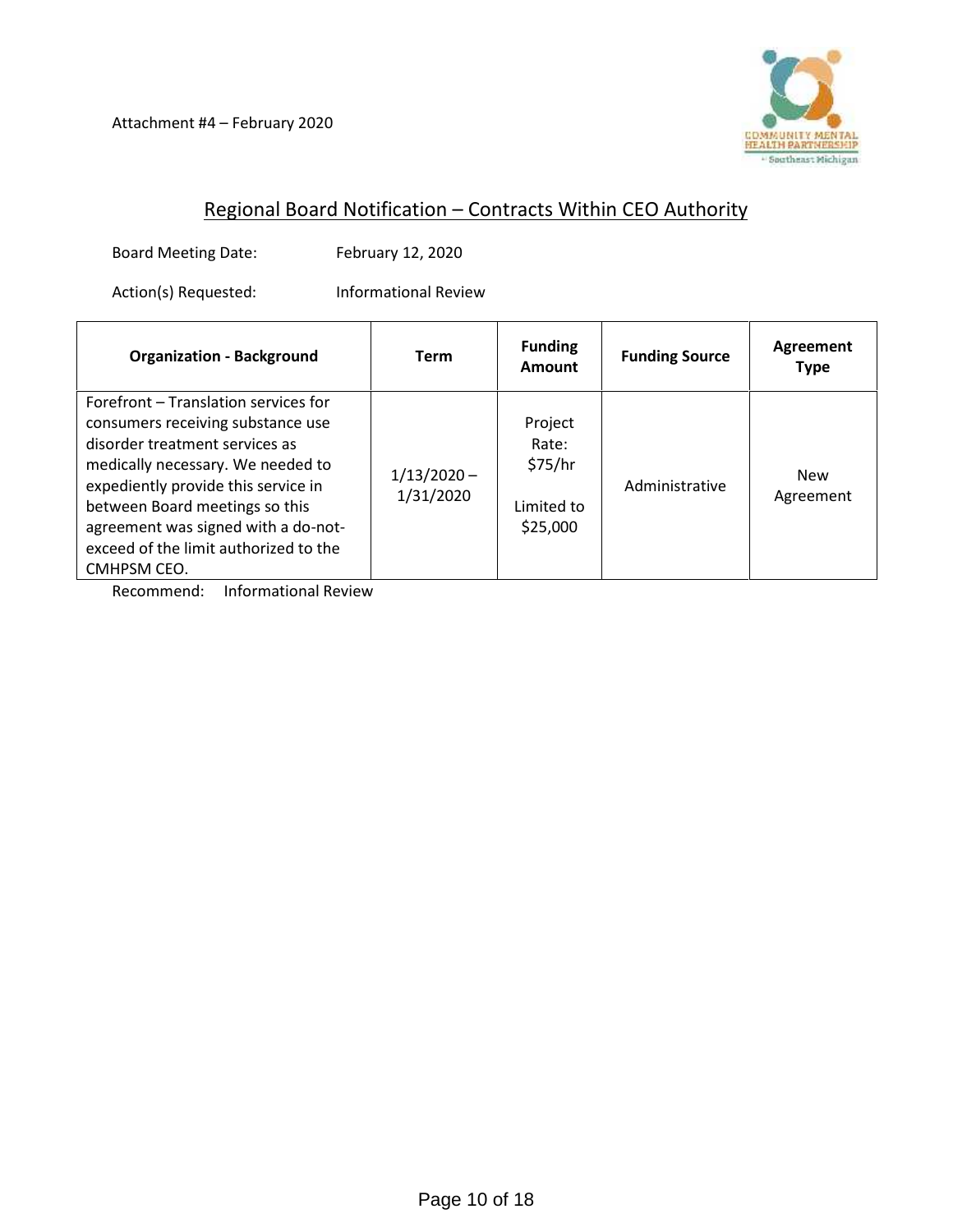

# Regional Board Notification – Contracts Within CEO Authority

Board Meeting Date: February 12, 2020

Action(s) Requested: Informational Review

| <b>Organization - Background</b>                                                                                                                                                                                                                                                                                         | Term                       | <b>Funding</b><br>Amount                              | <b>Funding Source</b> | Agreement<br>Type       |
|--------------------------------------------------------------------------------------------------------------------------------------------------------------------------------------------------------------------------------------------------------------------------------------------------------------------------|----------------------------|-------------------------------------------------------|-----------------------|-------------------------|
| Forefront - Translation services for<br>consumers receiving substance use<br>disorder treatment services as<br>medically necessary. We needed to<br>expediently provide this service in<br>between Board meetings so this<br>agreement was signed with a do-not-<br>exceed of the limit authorized to the<br>CMHPSM CEO. | $1/13/2020 -$<br>1/31/2020 | Project<br>Rate:<br>\$75/hr<br>Limited to<br>\$25,000 | Administrative        | <b>New</b><br>Agreement |

Recommend: Informational Review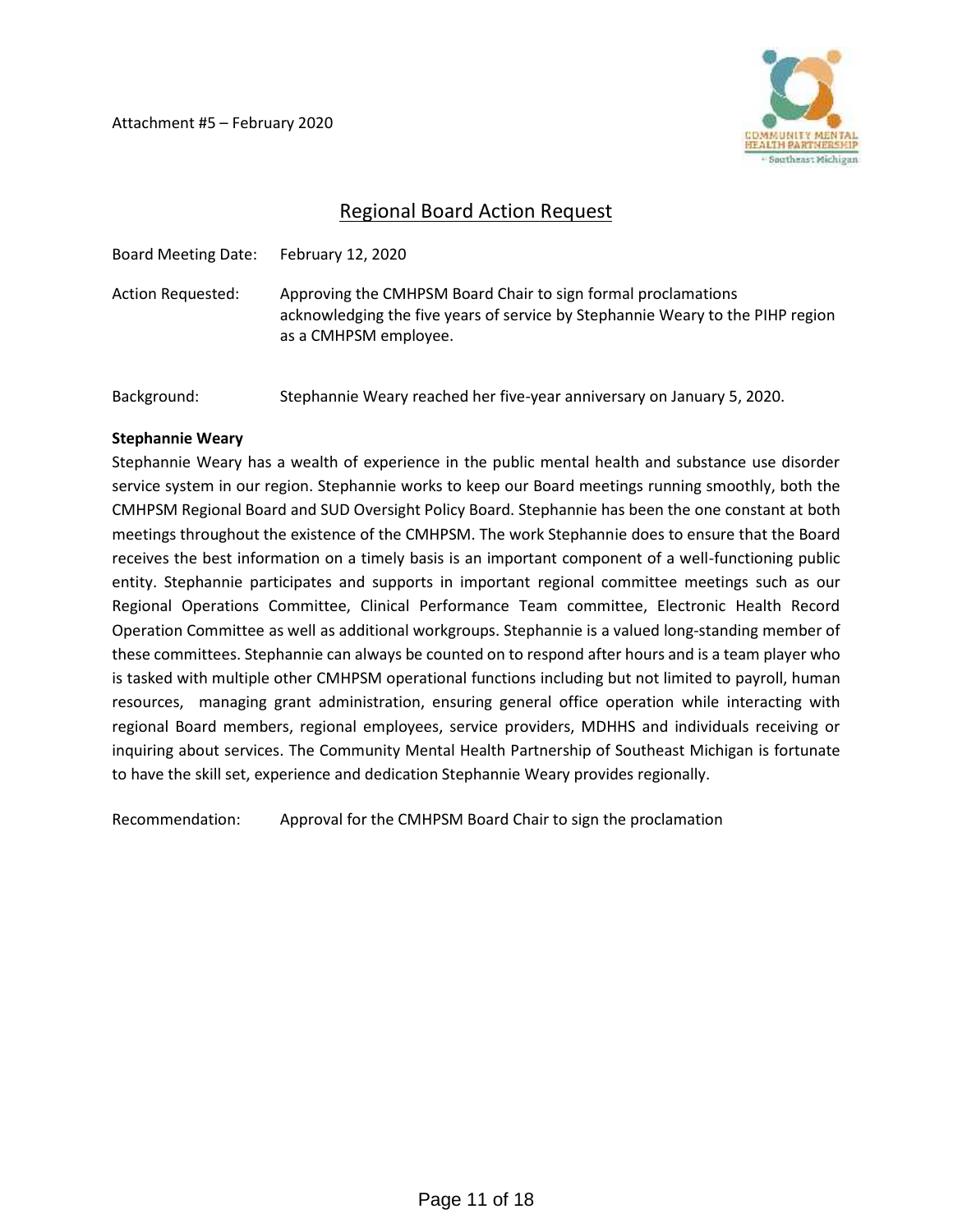Attachment #5 – February 2020



# Regional Board Action Request

| <b>Board Meeting Date:</b> | February 12, 2020                                                                                                                                                        |
|----------------------------|--------------------------------------------------------------------------------------------------------------------------------------------------------------------------|
| Action Requested:          | Approving the CMHPSM Board Chair to sign formal proclamations<br>acknowledging the five years of service by Stephannie Weary to the PIHP region<br>as a CMHPSM employee. |
| Background:                | Stephannie Weary reached her five-year anniversary on January 5, 2020.                                                                                                   |

#### **Stephannie Weary**

Stephannie Weary has a wealth of experience in the public mental health and substance use disorder service system in our region. Stephannie works to keep our Board meetings running smoothly, both the CMHPSM Regional Board and SUD Oversight Policy Board. Stephannie has been the one constant at both meetings throughout the existence of the CMHPSM. The work Stephannie does to ensure that the Board receives the best information on a timely basis is an important component of a well-functioning public entity. Stephannie participates and supports in important regional committee meetings such as our Regional Operations Committee, Clinical Performance Team committee, Electronic Health Record Operation Committee as well as additional workgroups. Stephannie is a valued long-standing member of these committees. Stephannie can always be counted on to respond after hours and is a team player who is tasked with multiple other CMHPSM operational functions including but not limited to payroll, human resources, managing grant administration, ensuring general office operation while interacting with regional Board members, regional employees, service providers, MDHHS and individuals receiving or inquiring about services. The Community Mental Health Partnership of Southeast Michigan is fortunate to have the skill set, experience and dedication Stephannie Weary provides regionally.

Recommendation: Approval for the CMHPSM Board Chair to sign the proclamation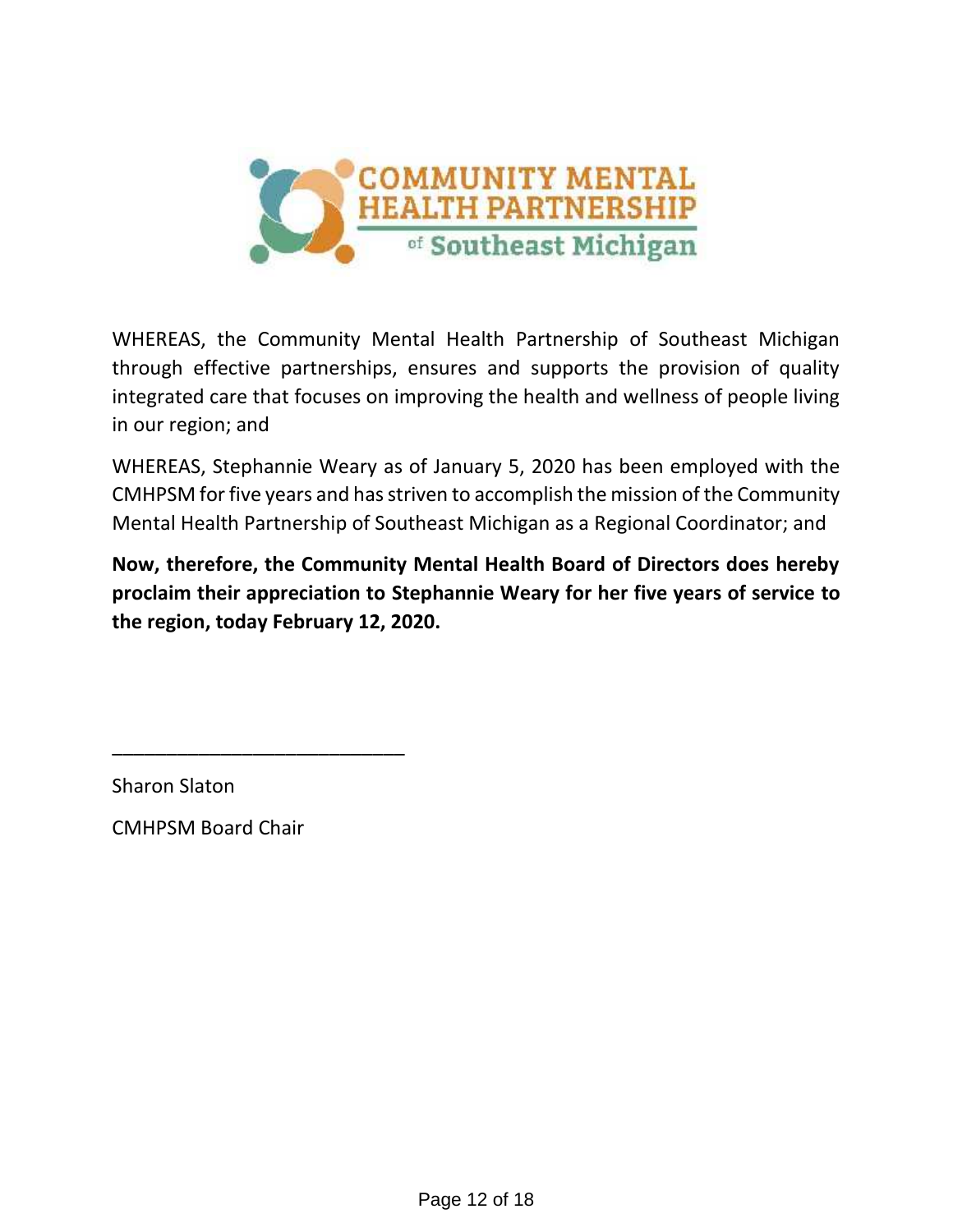

WHEREAS, the Community Mental Health Partnership of Southeast Michigan through effective partnerships, ensures and supports the provision of quality integrated care that focuses on improving the health and wellness of people living in our region; and

WHEREAS, Stephannie Weary as of January 5, 2020 has been employed with the CMHPSM for five years and has striven to accomplish the mission of the Community Mental Health Partnership of Southeast Michigan as a Regional Coordinator; and

**Now, therefore, the Community Mental Health Board of Directors does hereby proclaim their appreciation to Stephannie Weary for her five years of service to the region, today February 12, 2020.**

Sharon Slaton

CMHPSM Board Chair

\_\_\_\_\_\_\_\_\_\_\_\_\_\_\_\_\_\_\_\_\_\_\_\_\_\_\_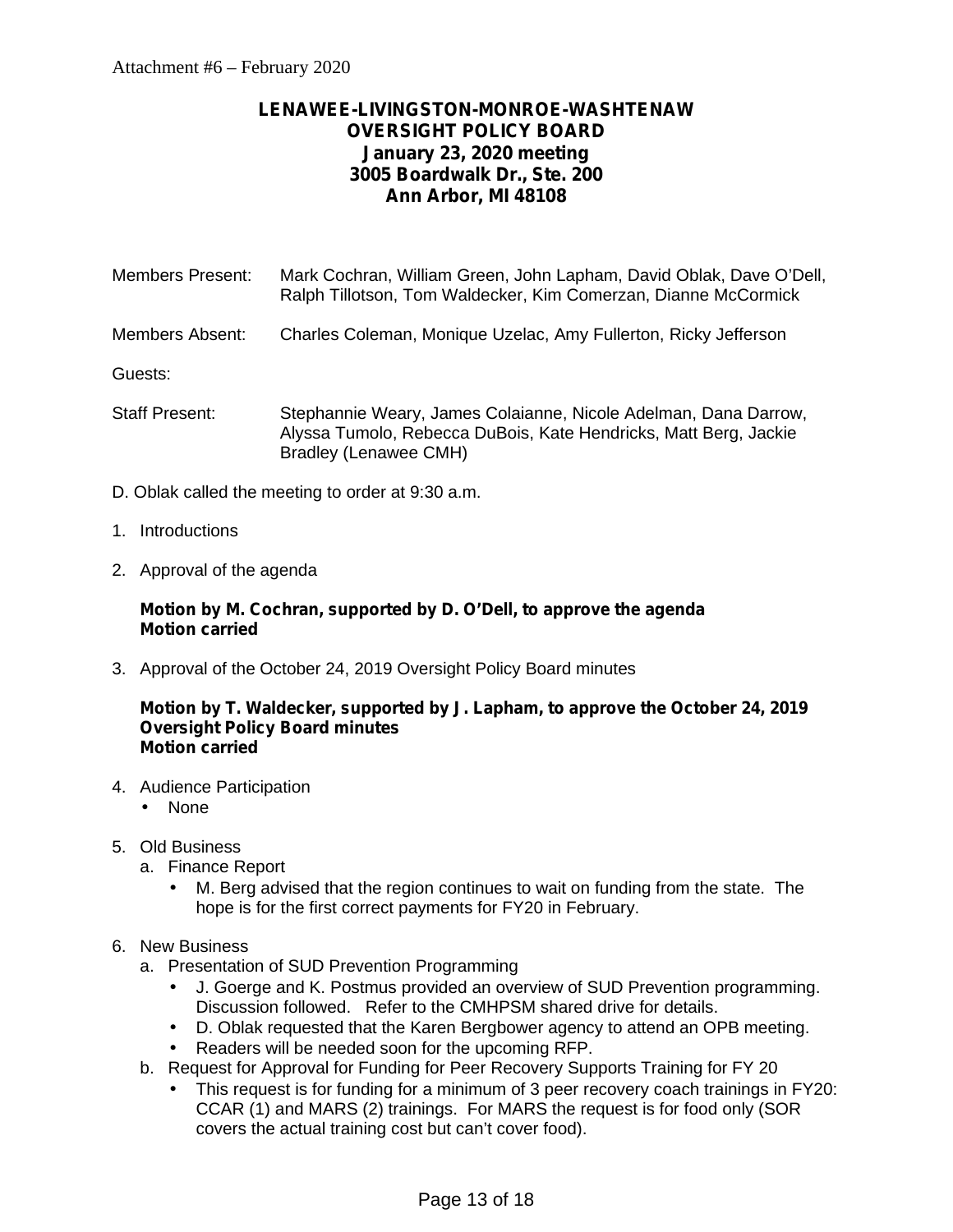# **LENAWEE-LIVINGSTON-MONROE-WASHTENAW OVERSIGHT POLICY BOARD January 23, 2020 meeting 3005 Boardwalk Dr., Ste. 200 Ann Arbor, MI 48108**

Members Present: Mark Cochran, William Green, John Lapham, David Oblak, Dave O'Dell, Ralph Tillotson, Tom Waldecker, Kim Comerzan, Dianne McCormick

Members Absent: Charles Coleman, Monique Uzelac, Amy Fullerton, Ricky Jefferson

Guests:

- Staff Present: Stephannie Weary, James Colaianne, Nicole Adelman, Dana Darrow, Alyssa Tumolo, Rebecca DuBois, Kate Hendricks, Matt Berg, Jackie Bradley (Lenawee CMH)
- D. Oblak called the meeting to order at 9:30 a.m.
- 1. Introductions
- 2. Approval of the agenda

### **Motion by M. Cochran, supported by D. O'Dell, to approve the agenda Motion carried**

3. Approval of the October 24, 2019 Oversight Policy Board minutes

#### **Motion by T. Waldecker, supported by J. Lapham, to approve the October 24, 2019 Oversight Policy Board minutes Motion carried**

- 4. Audience Participation
	- None
- 5. Old Business
	- a. Finance Report
		- M. Berg advised that the region continues to wait on funding from the state. The hope is for the first correct payments for FY20 in February.
- 6. New Business
	- a. Presentation of SUD Prevention Programming
		- J. Goerge and K. Postmus provided an overview of SUD Prevention programming. Discussion followed. Refer to the CMHPSM shared drive for details.
		- D. Oblak requested that the Karen Bergbower agency to attend an OPB meeting.
		- Readers will be needed soon for the upcoming RFP.
	- b. Request for Approval for Funding for Peer Recovery Supports Training for FY 20
		- This request is for funding for a minimum of 3 peer recovery coach trainings in FY20: CCAR (1) and MARS (2) trainings. For MARS the request is for food only (SOR covers the actual training cost but can't cover food).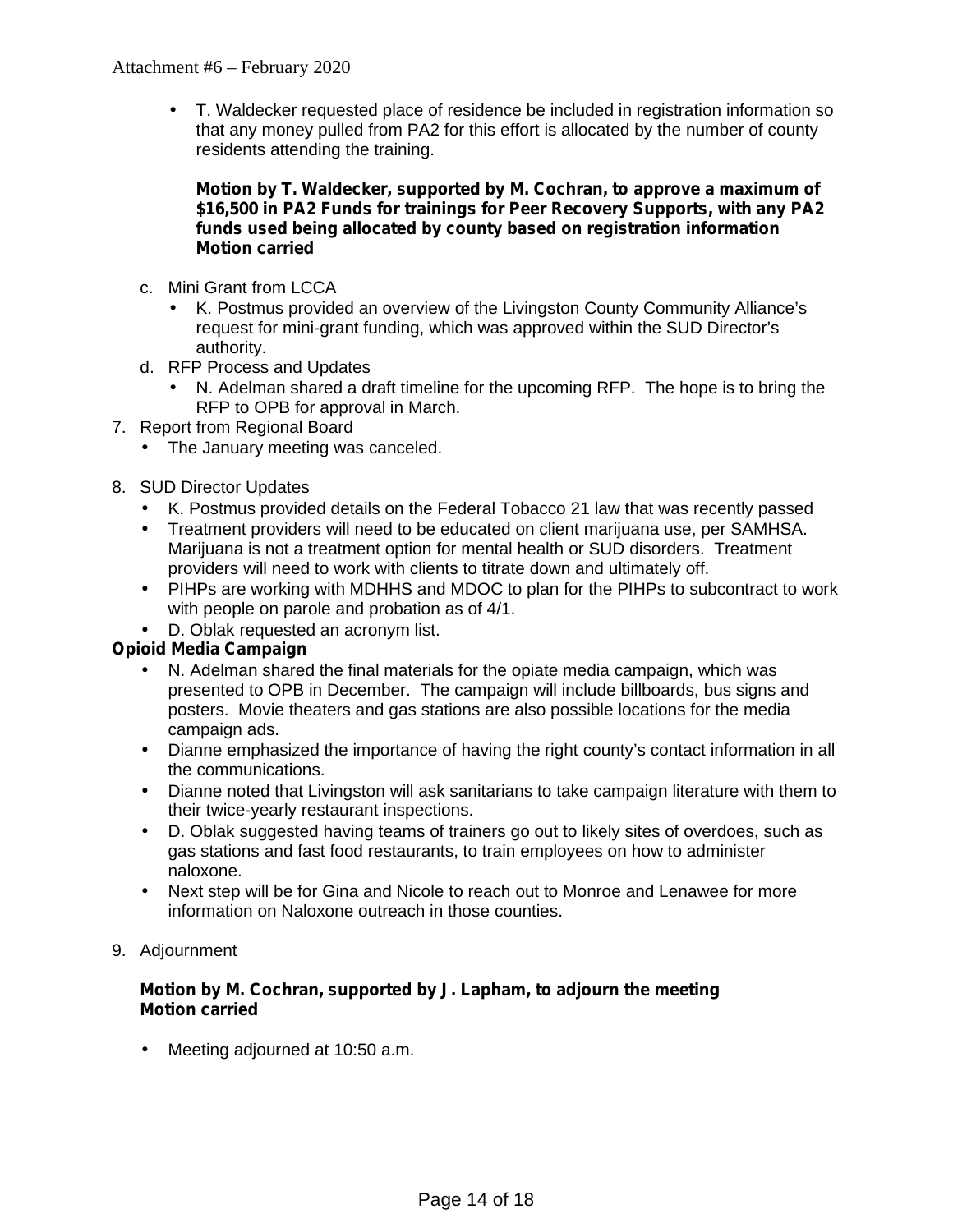T. Waldecker requested place of residence be included in registration information so that any money pulled from PA2 for this effort is allocated by the number of county residents attending the training.

#### **Motion by T. Waldecker, supported by M. Cochran, to approve a maximum of \$16,500 in PA2 Funds for trainings for Peer Recovery Supports, with any PA2 funds used being allocated by county based on registration information Motion carried**

- c. Mini Grant from LCCA
	- K. Postmus provided an overview of the Livingston County Community Alliance's request for mini-grant funding, which was approved within the SUD Director's authority.
- d. RFP Process and Updates
	- N. Adelman shared a draft timeline for the upcoming RFP. The hope is to bring the RFP to OPB for approval in March.
- 7. Report from Regional Board
	- The January meeting was canceled.
- 8. SUD Director Updates
	- K. Postmus provided details on the Federal Tobacco 21 law that was recently passed
	- Treatment providers will need to be educated on client marijuana use, per SAMHSA. Marijuana is not a treatment option for mental health or SUD disorders. Treatment providers will need to work with clients to titrate down and ultimately off.
	- PIHPs are working with MDHHS and MDOC to plan for the PIHPs to subcontract to work with people on parole and probation as of 4/1.
	- D. Oblak requested an acronym list.

# **Opioid Media Campaign**

- N. Adelman shared the final materials for the opiate media campaign, which was presented to OPB in December. The campaign will include billboards, bus signs and posters. Movie theaters and gas stations are also possible locations for the media campaign ads.
- Dianne emphasized the importance of having the right county's contact information in all the communications.
- Dianne noted that Livingston will ask sanitarians to take campaign literature with them to their twice-yearly restaurant inspections.
- D. Oblak suggested having teams of trainers go out to likely sites of overdoes, such as gas stations and fast food restaurants, to train employees on how to administer naloxone.
- Next step will be for Gina and Nicole to reach out to Monroe and Lenawee for more information on Naloxone outreach in those counties.
- 9. Adjournment

#### **Motion by M. Cochran, supported by J. Lapham, to adjourn the meeting Motion carried**

Meeting adjourned at 10:50 a.m.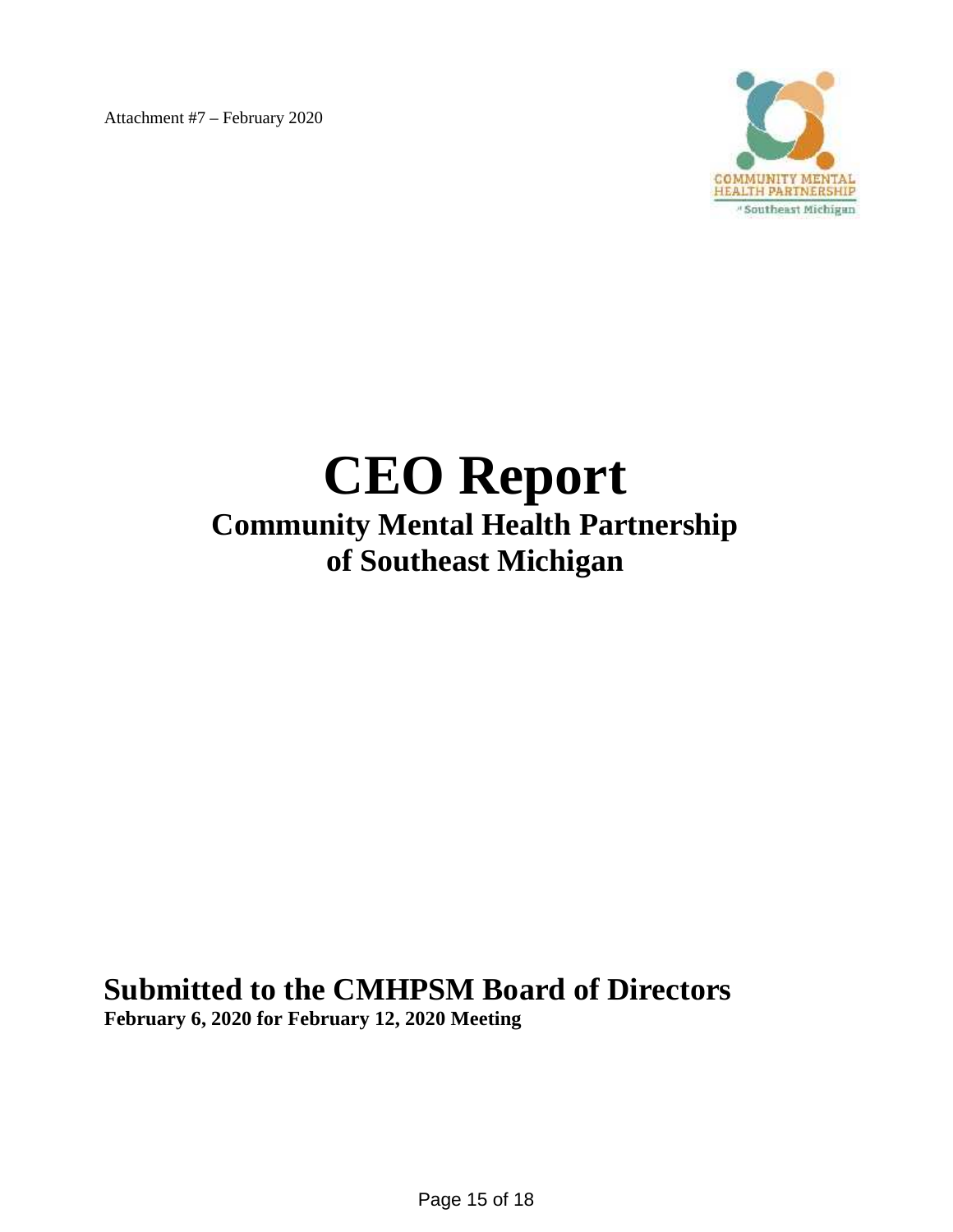Attachment #7 – February 2020



# **CEO Report Community Mental Health Partnership of Southeast Michigan**

# **Submitted to the CMHPSM Board of Directors**

**February 6, 2020 for February 12, 2020 Meeting**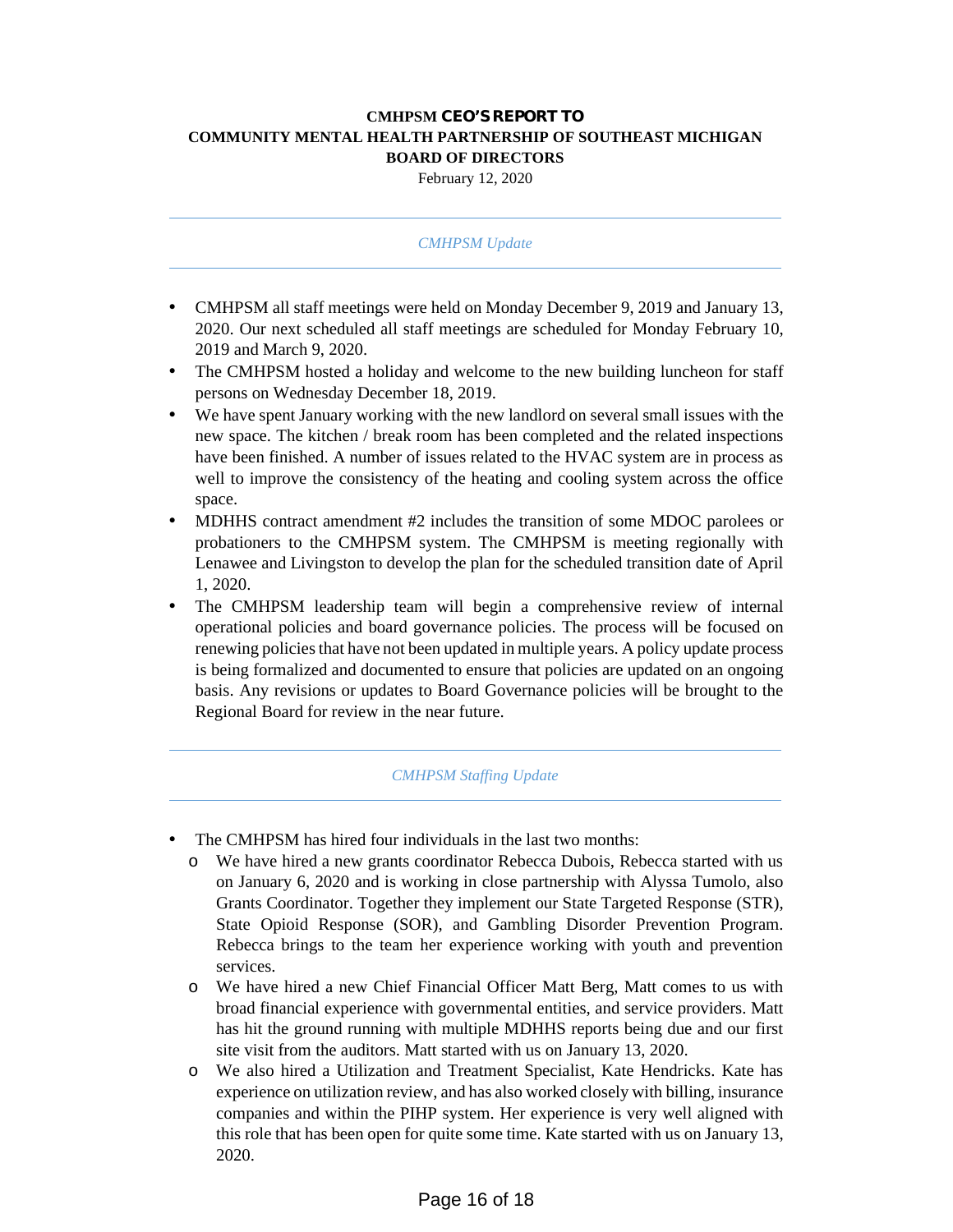## **CMHPSM CEO'S REPORT TO COMMUNITY MENTAL HEALTH PARTNERSHIP OF SOUTHEAST MICHIGAN BOARD OF DIRECTORS**

February 12, 2020

#### *CMHPSM Update*

- CMHPSM all staff meetings were held on Monday December 9, 2019 and January 13, 2020. Our next scheduled all staff meetings are scheduled for Monday February 10, 2019 and March 9, 2020.
- The CMHPSM hosted a holiday and welcome to the new building luncheon for staff persons on Wednesday December 18, 2019.
- We have spent January working with the new landlord on several small issues with the new space. The kitchen / break room has been completed and the related inspections have been finished. A number of issues related to the HVAC system are in process as well to improve the consistency of the heating and cooling system across the office space.
- MDHHS contract amendment #2 includes the transition of some MDOC parolees or probationers to the CMHPSM system. The CMHPSM is meeting regionally with Lenawee and Livingston to develop the plan for the scheduled transition date of April 1, 2020.
- The CMHPSM leadership team will begin a comprehensive review of internal operational policies and board governance policies. The process will be focused on renewing policies that have not been updated in multiple years. A policy update process is being formalized and documented to ensure that policies are updated on an ongoing basis. Any revisions or updates to Board Governance policies will be brought to the Regional Board for review in the near future.

#### *CMHPSM Staffing Update*

- The CMHPSM has hired four individuals in the last two months:
	- o We have hired a new grants coordinator Rebecca Dubois, Rebecca started with us on January 6, 2020 and is working in close partnership with Alyssa Tumolo, also Grants Coordinator. Together they implement our State Targeted Response (STR), State Opioid Response (SOR), and Gambling Disorder Prevention Program. Rebecca brings to the team her experience working with youth and prevention services.
	- o We have hired a new Chief Financial Officer Matt Berg, Matt comes to us with broad financial experience with governmental entities, and service providers. Matt has hit the ground running with multiple MDHHS reports being due and our first site visit from the auditors. Matt started with us on January 13, 2020.
	- o We also hired a Utilization and Treatment Specialist, Kate Hendricks. Kate has experience on utilization review, and has also worked closely with billing, insurance companies and within the PIHP system. Her experience is very well aligned with this role that has been open for quite some time. Kate started with us on January 13, 2020.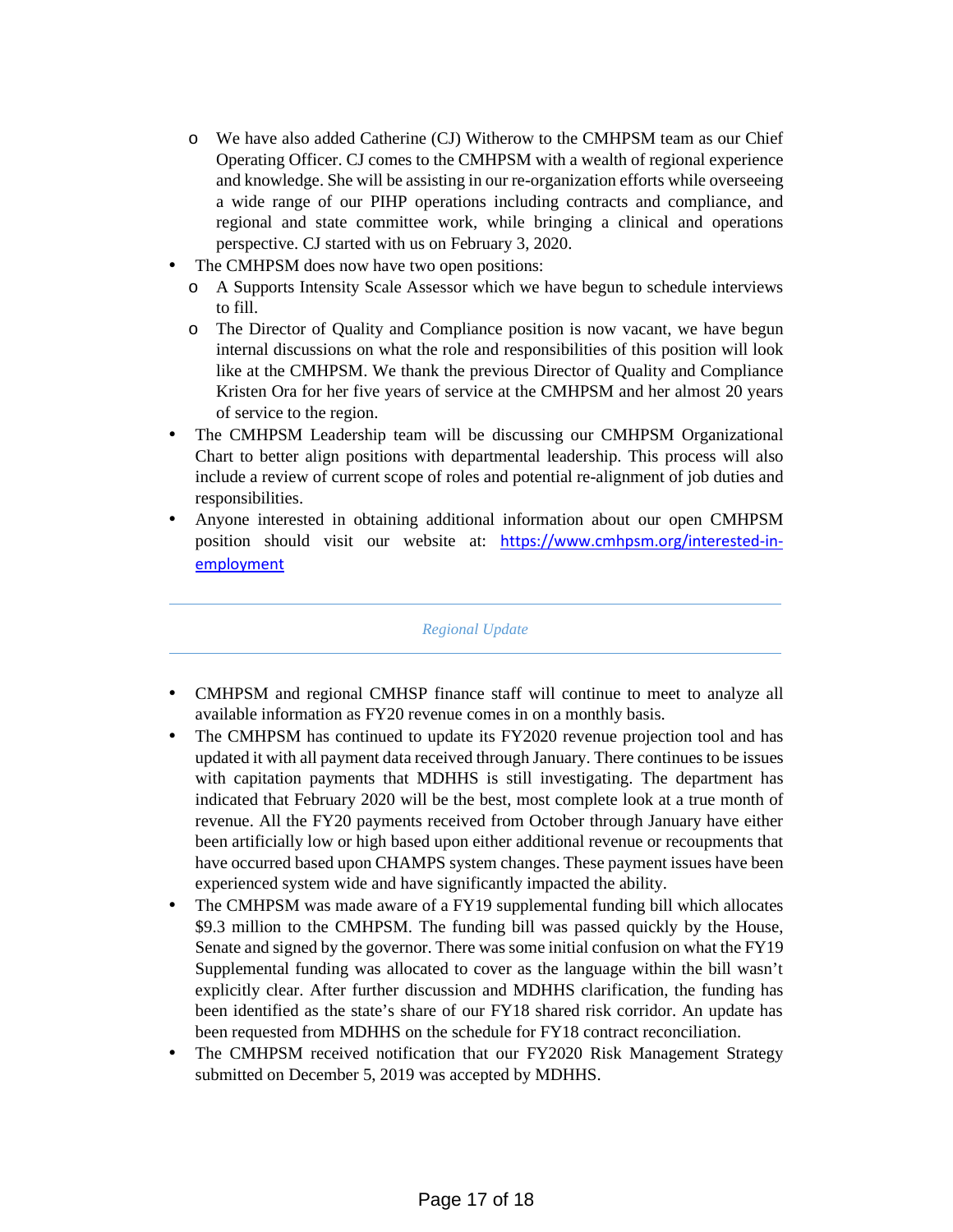- o We have also added Catherine (CJ) Witherow to the CMHPSM team as our Chief Operating Officer. CJ comes to the CMHPSM with a wealth of regional experience and knowledge. She will be assisting in our re-organization efforts while overseeing a wide range of our PIHP operations including contracts and compliance, and regional and state committee work, while bringing a clinical and operations perspective. CJ started with us on February 3, 2020.
- The CMHPSM does now have two open positions:
	- o A Supports Intensity Scale Assessor which we have begun to schedule interviews to fill.
	- o The Director of Quality and Compliance position is now vacant, we have begun internal discussions on what the role and responsibilities of this position will look like at the CMHPSM. We thank the previous Director of Quality and Compliance Kristen Ora for her five years of service at the CMHPSM and her almost 20 years of service to the region.
- The CMHPSM Leadership team will be discussing our CMHPSM Organizational Chart to better align positions with departmental leadership. This process will also include a review of current scope of roles and potential re-alignment of job duties and responsibilities.
- Anyone interested in obtaining additional information about our open CMHPSM position should visit our website at: https://www.cmhpsm.org/interested-in employment

*Regional Update*

- CMHPSM and regional CMHSP finance staff will continue to meet to analyze all available information as FY20 revenue comes in on a monthly basis.
- The CMHPSM has continued to update its FY2020 revenue projection tool and has updated it with all payment data received through January. There continues to be issues with capitation payments that MDHHS is still investigating. The department has indicated that February 2020 will be the best, most complete look at a true month of revenue. All the FY20 payments received from October through January have either been artificially low or high based upon either additional revenue or recoupments that have occurred based upon CHAMPS system changes. These payment issues have been experienced system wide and have significantly impacted the ability.
- The CMHPSM was made aware of a FY19 supplemental funding bill which allocates \$9.3 million to the CMHPSM. The funding bill was passed quickly by the House, Senate and signed by the governor. There was some initial confusion on what the FY19 Supplemental funding was allocated to cover as the language within the bill wasn't explicitly clear. After further discussion and MDHHS clarification, the funding has been identified as the state's share of our FY18 shared risk corridor. An update has been requested from MDHHS on the schedule for FY18 contract reconciliation.
- The CMHPSM received notification that our FY2020 Risk Management Strategy submitted on December 5, 2019 was accepted by MDHHS.